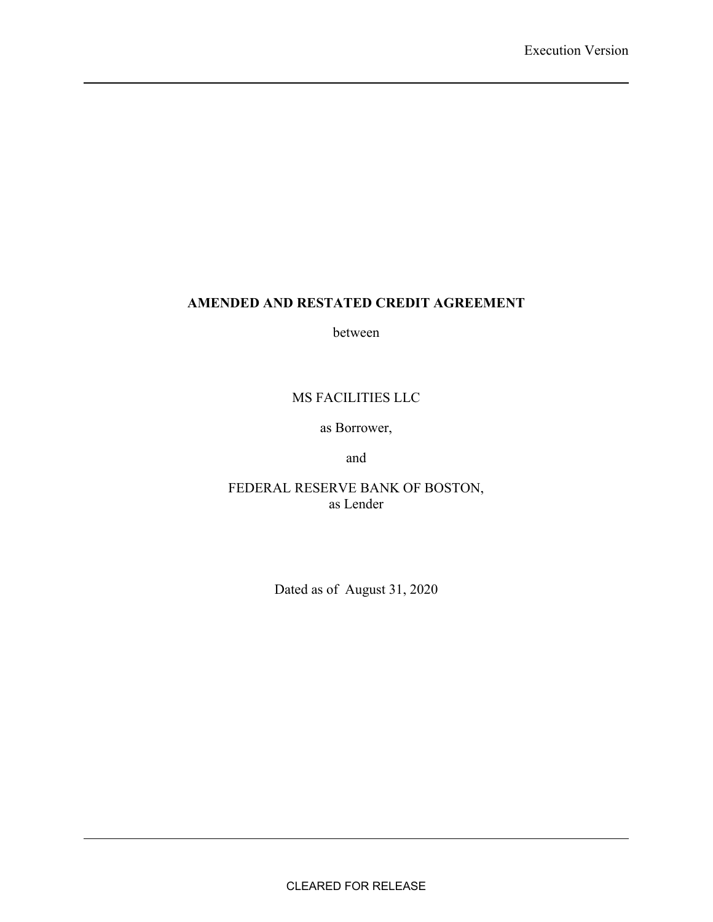## **AMENDED AND RESTATED CREDIT AGREEMENT**

between

## MS FACILITIES LLC

as Borrower,

and

FEDERAL RESERVE BANK OF BOSTON, as Lender

Dated as of August 31, 2020

CLEARED FOR RELEASE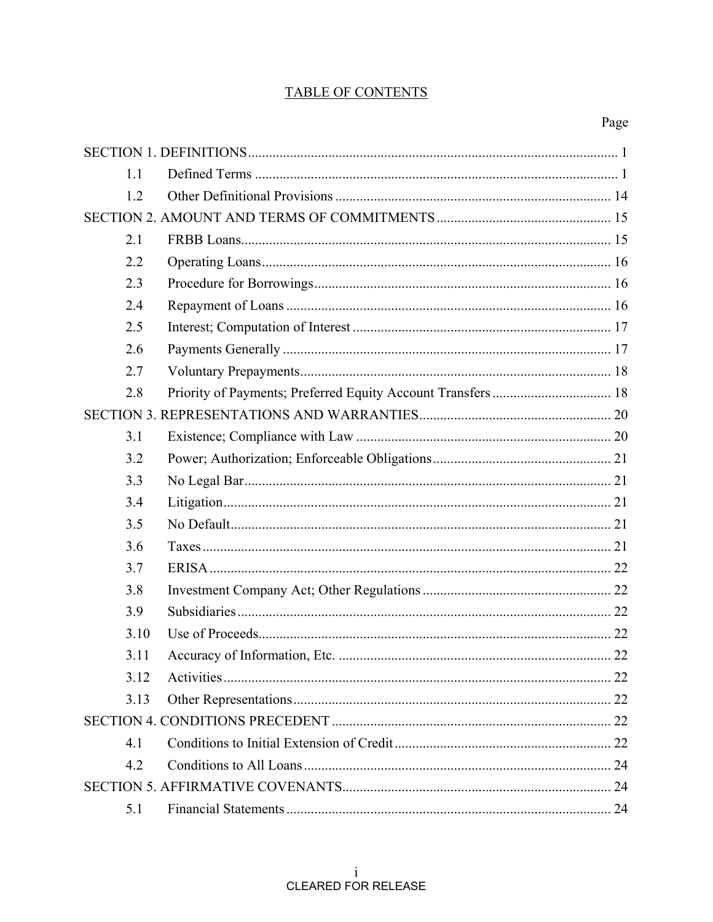## **TABLE OF CONTENTS**

| 1.1  |                                                              |  |
|------|--------------------------------------------------------------|--|
| 1.2  |                                                              |  |
|      |                                                              |  |
| 2.1  |                                                              |  |
| 2.2  |                                                              |  |
| 2.3  |                                                              |  |
| 2.4  |                                                              |  |
| 2.5  |                                                              |  |
| 2.6  |                                                              |  |
| 2.7  |                                                              |  |
| 2.8  | Priority of Payments; Preferred Equity Account Transfers  18 |  |
|      |                                                              |  |
| 3.1  |                                                              |  |
| 3.2  |                                                              |  |
| 3.3  |                                                              |  |
| 3.4  |                                                              |  |
| 3.5  |                                                              |  |
| 3.6  |                                                              |  |
| 3.7  |                                                              |  |
| 3.8  |                                                              |  |
| 3.9  |                                                              |  |
| 3.10 |                                                              |  |
| 3.11 |                                                              |  |
| 3.12 |                                                              |  |
| 3.13 |                                                              |  |
|      |                                                              |  |
| 4.1  |                                                              |  |
| 4.2  |                                                              |  |
|      |                                                              |  |
| 5.1  |                                                              |  |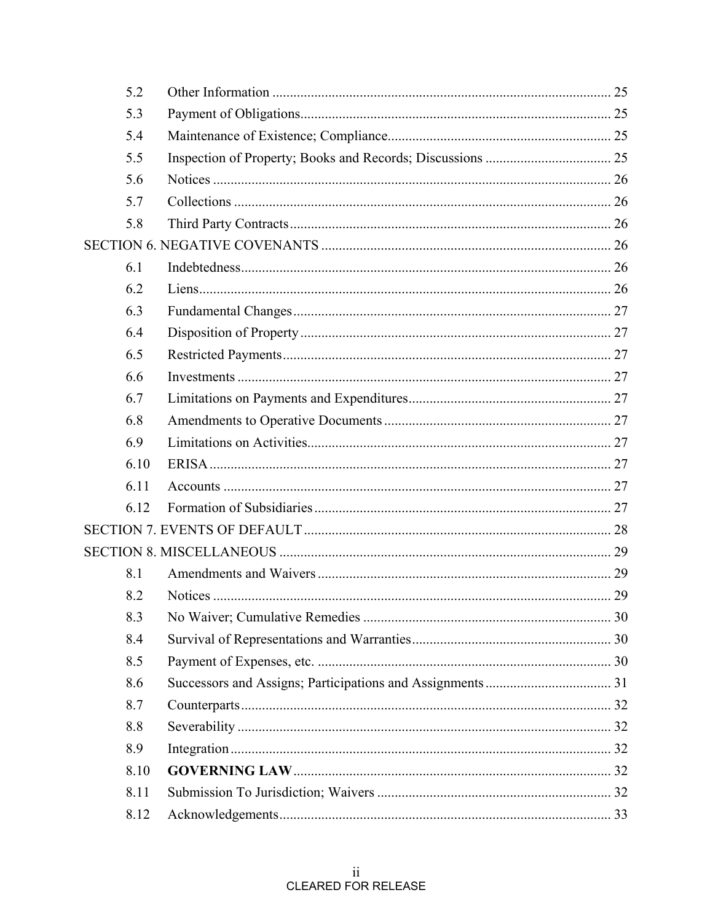| 5.2  |  |
|------|--|
| 5.3  |  |
| 5.4  |  |
| 5.5  |  |
| 5.6  |  |
| 5.7  |  |
| 5.8  |  |
|      |  |
| 6.1  |  |
| 6.2  |  |
| 6.3  |  |
| 6.4  |  |
| 6.5  |  |
| 6.6  |  |
| 6.7  |  |
| 6.8  |  |
| 6.9  |  |
| 6.10 |  |
| 6.11 |  |
| 6.12 |  |
|      |  |
|      |  |
| 8.1  |  |
| 8.2  |  |
| 8.3  |  |
| 8.4  |  |
| 8.5  |  |
| 8.6  |  |
| 8.7  |  |
| 8.8  |  |
| 8.9  |  |
| 8.10 |  |
| 8.11 |  |
| 8.12 |  |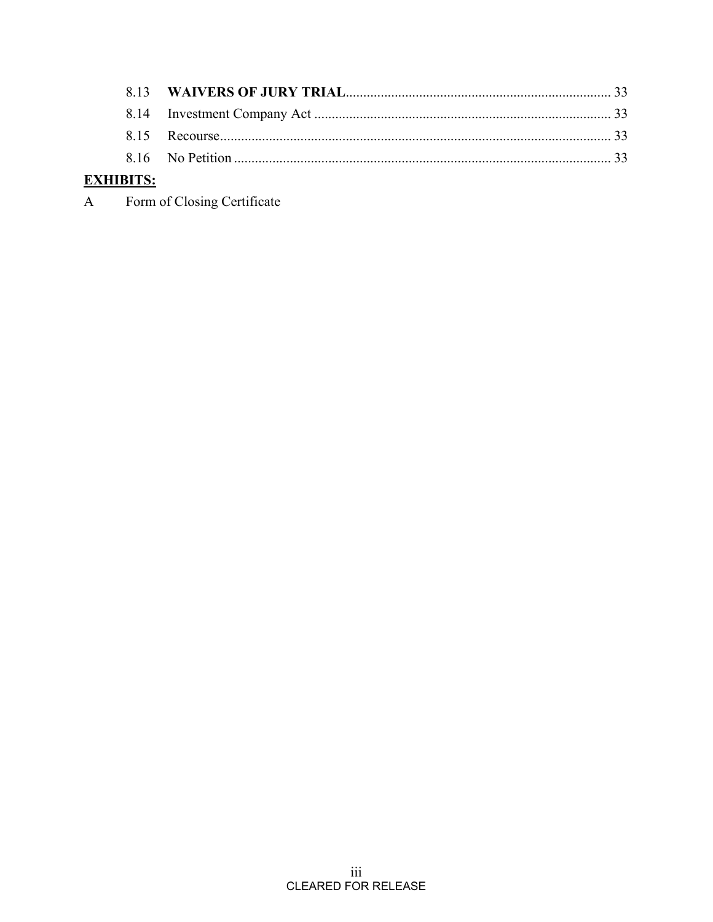| $\pi$ itr $\pi$ a |  |
|-------------------|--|

# **EXHIBITS:**

| Α | Form of Closing Certificate |  |
|---|-----------------------------|--|
|---|-----------------------------|--|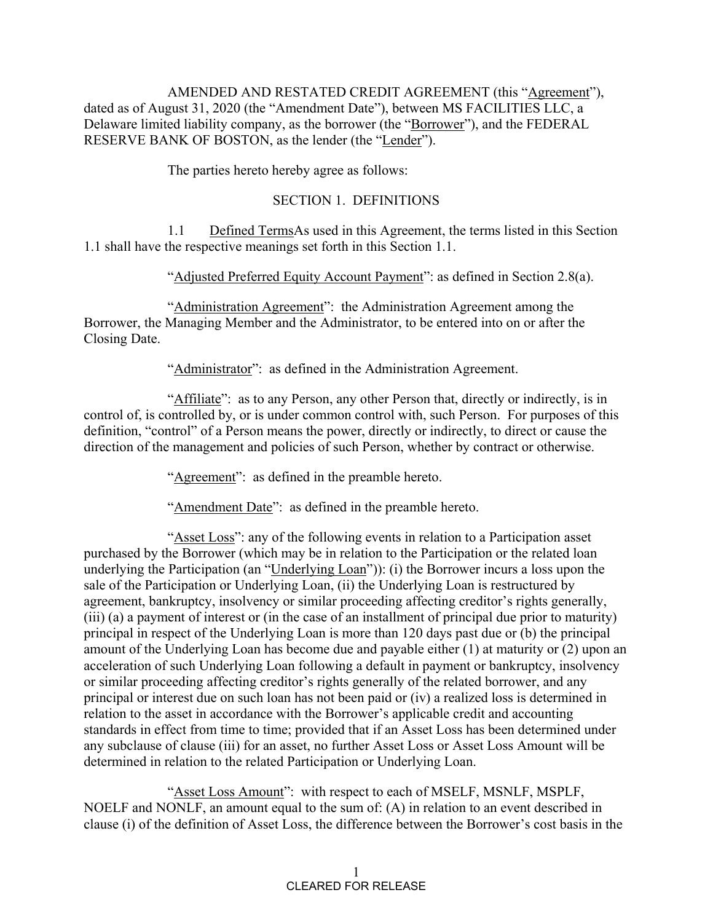AMENDED AND RESTATED CREDIT AGREEMENT (this "Agreement"), dated as of August 31, 2020 (the "Amendment Date"), between MS FACILITIES LLC, a Delaware limited liability company, as the borrower (the "Borrower"), and the FEDERAL RESERVE BANK OF BOSTON, as the lender (the "Lender").

The parties hereto hereby agree as follows:

## SECTION 1. DEFINITIONS

1.1 Defined TermsAs used in this Agreement, the terms listed in this Section 1.1 shall have the respective meanings set forth in this Section 1.1.

"Adjusted Preferred Equity Account Payment": as defined in Section 2.8(a).

"Administration Agreement": the Administration Agreement among the Borrower, the Managing Member and the Administrator, to be entered into on or after the Closing Date.

"Administrator": as defined in the Administration Agreement.

"Affiliate": as to any Person, any other Person that, directly or indirectly, is in control of, is controlled by, or is under common control with, such Person. For purposes of this definition, "control" of a Person means the power, directly or indirectly, to direct or cause the direction of the management and policies of such Person, whether by contract or otherwise.

"Agreement": as defined in the preamble hereto.

"Amendment Date": as defined in the preamble hereto.

"Asset Loss": any of the following events in relation to a Participation asset purchased by the Borrower (which may be in relation to the Participation or the related loan underlying the Participation (an "Underlying Loan")): (i) the Borrower incurs a loss upon the sale of the Participation or Underlying Loan, (ii) the Underlying Loan is restructured by agreement, bankruptcy, insolvency or similar proceeding affecting creditor's rights generally, (iii) (a) a payment of interest or (in the case of an installment of principal due prior to maturity) principal in respect of the Underlying Loan is more than 120 days past due or (b) the principal amount of the Underlying Loan has become due and payable either (1) at maturity or (2) upon an acceleration of such Underlying Loan following a default in payment or bankruptcy, insolvency or similar proceeding affecting creditor's rights generally of the related borrower, and any principal or interest due on such loan has not been paid or (iv) a realized loss is determined in relation to the asset in accordance with the Borrower's applicable credit and accounting standards in effect from time to time; provided that if an Asset Loss has been determined under any subclause of clause (iii) for an asset, no further Asset Loss or Asset Loss Amount will be determined in relation to the related Participation or Underlying Loan.

"Asset Loss Amount": with respect to each of MSELF, MSNLF, MSPLF, NOELF and NONLF, an amount equal to the sum of: (A) in relation to an event described in clause (i) of the definition of Asset Loss, the difference between the Borrower's cost basis in the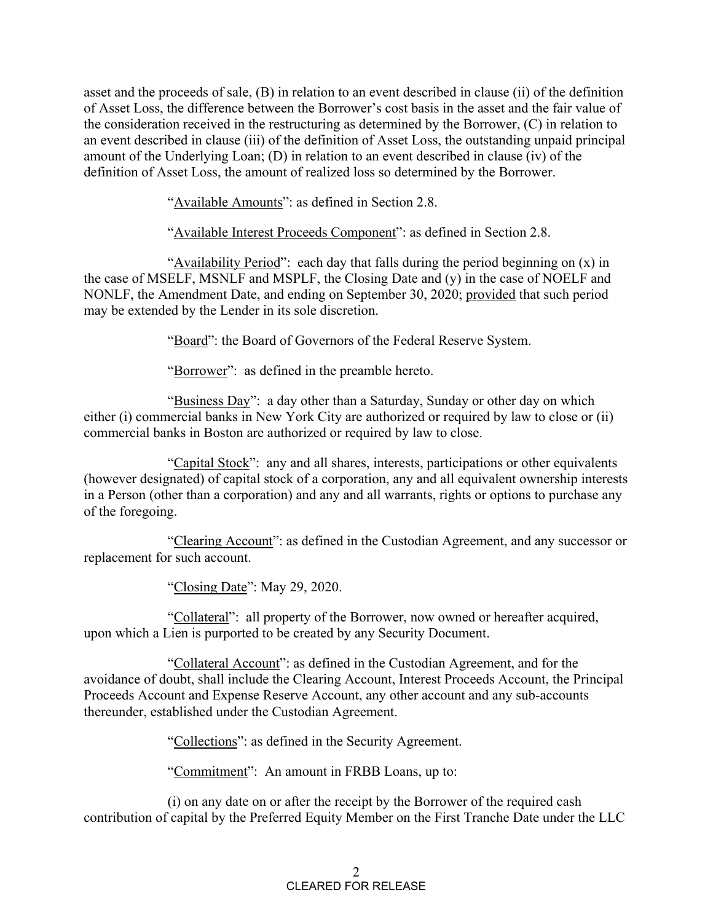asset and the proceeds of sale, (B) in relation to an event described in clause (ii) of the definition of Asset Loss, the difference between the Borrower's cost basis in the asset and the fair value of the consideration received in the restructuring as determined by the Borrower, (C) in relation to an event described in clause (iii) of the definition of Asset Loss, the outstanding unpaid principal amount of the Underlying Loan; (D) in relation to an event described in clause (iv) of the definition of Asset Loss, the amount of realized loss so determined by the Borrower.

"Available Amounts": as defined in Section 2.8.

"Available Interest Proceeds Component": as defined in Section 2.8.

"Availability Period": each day that falls during the period beginning on (x) in the case of MSELF, MSNLF and MSPLF, the Closing Date and (y) in the case of NOELF and NONLF, the Amendment Date, and ending on September 30, 2020; provided that such period may be extended by the Lender in its sole discretion.

"Board": the Board of Governors of the Federal Reserve System.

"Borrower": as defined in the preamble hereto.

"Business Day": a day other than a Saturday, Sunday or other day on which either (i) commercial banks in New York City are authorized or required by law to close or (ii) commercial banks in Boston are authorized or required by law to close.

"Capital Stock": any and all shares, interests, participations or other equivalents (however designated) of capital stock of a corporation, any and all equivalent ownership interests in a Person (other than a corporation) and any and all warrants, rights or options to purchase any of the foregoing.

"Clearing Account": as defined in the Custodian Agreement, and any successor or replacement for such account.

"Closing Date": May 29, 2020.

"Collateral": all property of the Borrower, now owned or hereafter acquired, upon which a Lien is purported to be created by any Security Document.

"Collateral Account": as defined in the Custodian Agreement, and for the avoidance of doubt, shall include the Clearing Account, Interest Proceeds Account, the Principal Proceeds Account and Expense Reserve Account, any other account and any sub-accounts thereunder, established under the Custodian Agreement.

"Collections": as defined in the Security Agreement.

"Commitment": An amount in FRBB Loans, up to:

(i) on any date on or after the receipt by the Borrower of the required cash contribution of capital by the Preferred Equity Member on the First Tranche Date under the LLC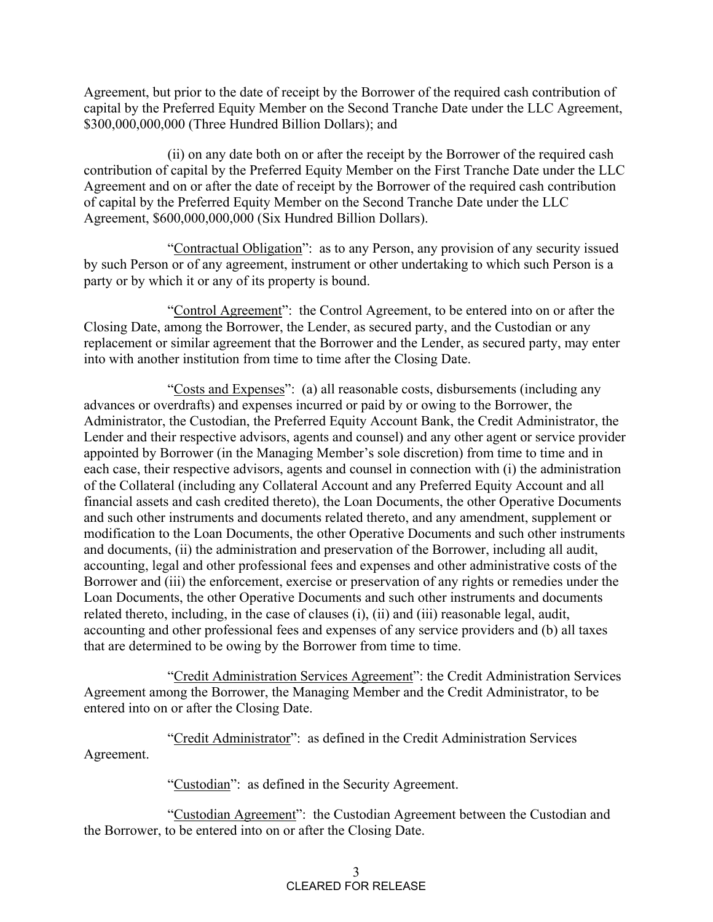Agreement, but prior to the date of receipt by the Borrower of the required cash contribution of capital by the Preferred Equity Member on the Second Tranche Date under the LLC Agreement, \$300,000,000,000 (Three Hundred Billion Dollars); and

(ii) on any date both on or after the receipt by the Borrower of the required cash contribution of capital by the Preferred Equity Member on the First Tranche Date under the LLC Agreement and on or after the date of receipt by the Borrower of the required cash contribution of capital by the Preferred Equity Member on the Second Tranche Date under the LLC Agreement, \$600,000,000,000 (Six Hundred Billion Dollars).

"Contractual Obligation": as to any Person, any provision of any security issued by such Person or of any agreement, instrument or other undertaking to which such Person is a party or by which it or any of its property is bound.

"Control Agreement": the Control Agreement, to be entered into on or after the Closing Date, among the Borrower, the Lender, as secured party, and the Custodian or any replacement or similar agreement that the Borrower and the Lender, as secured party, may enter into with another institution from time to time after the Closing Date.

"Costs and Expenses": (a) all reasonable costs, disbursements (including any advances or overdrafts) and expenses incurred or paid by or owing to the Borrower, the Administrator, the Custodian, the Preferred Equity Account Bank, the Credit Administrator, the Lender and their respective advisors, agents and counsel) and any other agent or service provider appointed by Borrower (in the Managing Member's sole discretion) from time to time and in each case, their respective advisors, agents and counsel in connection with (i) the administration of the Collateral (including any Collateral Account and any Preferred Equity Account and all financial assets and cash credited thereto), the Loan Documents, the other Operative Documents and such other instruments and documents related thereto, and any amendment, supplement or modification to the Loan Documents, the other Operative Documents and such other instruments and documents, (ii) the administration and preservation of the Borrower, including all audit, accounting, legal and other professional fees and expenses and other administrative costs of the Borrower and (iii) the enforcement, exercise or preservation of any rights or remedies under the Loan Documents, the other Operative Documents and such other instruments and documents related thereto, including, in the case of clauses (i), (ii) and (iii) reasonable legal, audit, accounting and other professional fees and expenses of any service providers and (b) all taxes that are determined to be owing by the Borrower from time to time.

"Credit Administration Services Agreement": the Credit Administration Services Agreement among the Borrower, the Managing Member and the Credit Administrator, to be entered into on or after the Closing Date.

"Credit Administrator": as defined in the Credit Administration Services Agreement.

"Custodian": as defined in the Security Agreement.

"Custodian Agreement": the Custodian Agreement between the Custodian and the Borrower, to be entered into on or after the Closing Date.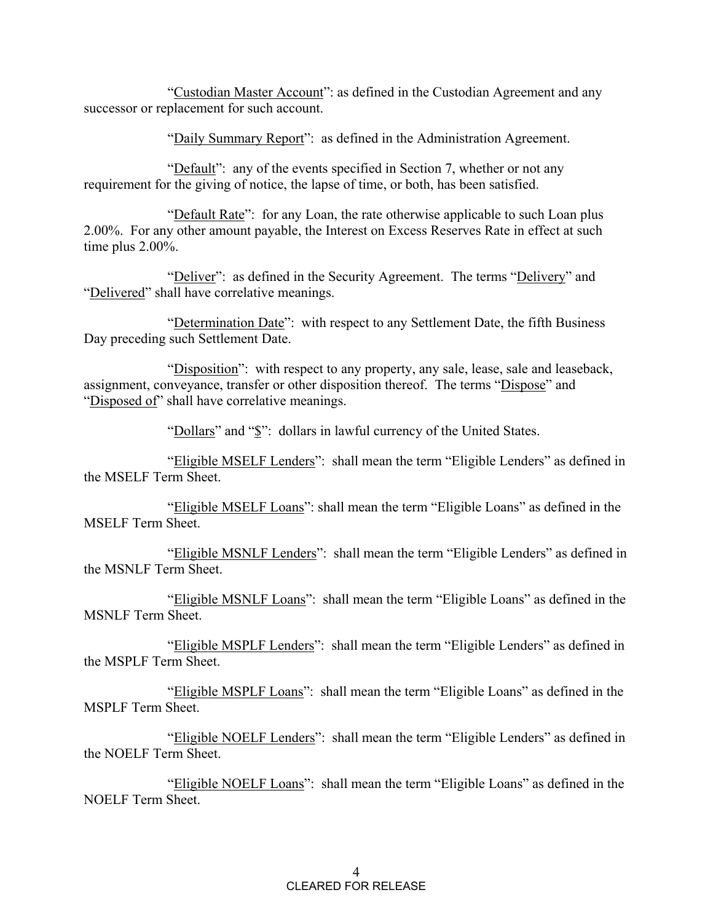"Custodian Master Account": as defined in the Custodian Agreement and any successor or replacement for such account.

"Daily Summary Report": as defined in the Administration Agreement.

"Default": any of the events specified in Section 7, whether or not any requirement for the giving of notice, the lapse of time, or both, has been satisfied.

"Default Rate": for any Loan, the rate otherwise applicable to such Loan plus 2.00%. For any other amount payable, the Interest on Excess Reserves Rate in effect at such time plus 2.00%.

"Deliver": as defined in the Security Agreement. The terms "Delivery" and "Delivered" shall have correlative meanings.

"Determination Date": with respect to any Settlement Date, the fifth Business Day preceding such Settlement Date.

"Disposition": with respect to any property, any sale, lease, sale and leaseback, assignment, conveyance, transfer or other disposition thereof. The terms "Dispose" and "Disposed of" shall have correlative meanings.

"Dollars" and "\$": dollars in lawful currency of the United States.

"Eligible MSELF Lenders": shall mean the term "Eligible Lenders" as defined in the MSELF Term Sheet.

"Eligible MSELF Loans": shall mean the term "Eligible Loans" as defined in the MSELF Term Sheet.

"Eligible MSNLF Lenders": shall mean the term "Eligible Lenders" as defined in the MSNLF Term Sheet.

"Eligible MSNLF Loans": shall mean the term "Eligible Loans" as defined in the MSNLF Term Sheet.

"Eligible MSPLF Lenders": shall mean the term "Eligible Lenders" as defined in the MSPLF Term Sheet.

"Eligible MSPLF Loans": shall mean the term "Eligible Loans" as defined in the MSPLF Term Sheet.

"Eligible NOELF Lenders": shall mean the term "Eligible Lenders" as defined in the NOELF Term Sheet.

"Eligible NOELF Loans": shall mean the term "Eligible Loans" as defined in the NOELF Term Sheet.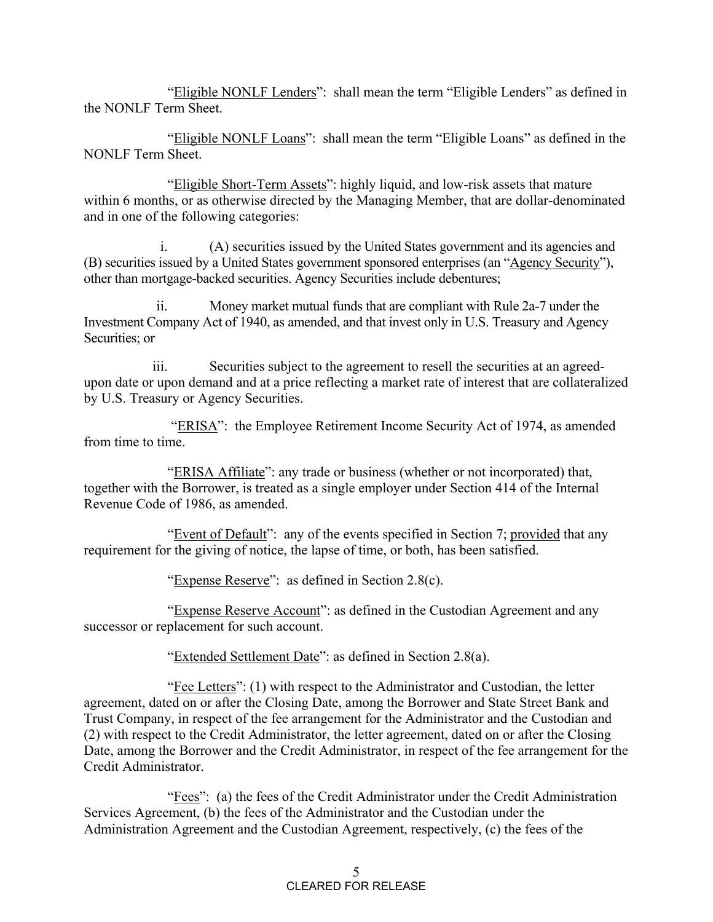"Eligible NONLF Lenders": shall mean the term "Eligible Lenders" as defined in the NONLF Term Sheet.

"Eligible NONLF Loans": shall mean the term "Eligible Loans" as defined in the NONLF Term Sheet.

"Eligible Short-Term Assets": highly liquid, and low-risk assets that mature within 6 months, or as otherwise directed by the Managing Member, that are dollar-denominated and in one of the following categories:

i. (A) securities issued by the United States government and its agencies and (B) securities issued by a United States government sponsored enterprises (an "Agency Security"), other than mortgage-backed securities. Agency Securities include debentures;

ii. Money market mutual funds that are compliant with Rule 2a-7 under the Investment Company Act of 1940, as amended, and that invest only in U.S. Treasury and Agency Securities; or

iii. Securities subject to the agreement to resell the securities at an agreedupon date or upon demand and at a price reflecting a market rate of interest that are collateralized by U.S. Treasury or Agency Securities.

 "ERISA": the Employee Retirement Income Security Act of 1974, as amended from time to time.

"ERISA Affiliate": any trade or business (whether or not incorporated) that, together with the Borrower, is treated as a single employer under Section 414 of the Internal Revenue Code of 1986, as amended.

"Event of Default": any of the events specified in Section 7; provided that any requirement for the giving of notice, the lapse of time, or both, has been satisfied.

"Expense Reserve": as defined in Section 2.8(c).

"Expense Reserve Account": as defined in the Custodian Agreement and any successor or replacement for such account.

"Extended Settlement Date": as defined in Section 2.8(a).

"Fee Letters": (1) with respect to the Administrator and Custodian, the letter agreement, dated on or after the Closing Date, among the Borrower and State Street Bank and Trust Company, in respect of the fee arrangement for the Administrator and the Custodian and (2) with respect to the Credit Administrator, the letter agreement, dated on or after the Closing Date, among the Borrower and the Credit Administrator, in respect of the fee arrangement for the Credit Administrator.

"Fees": (a) the fees of the Credit Administrator under the Credit Administration Services Agreement, (b) the fees of the Administrator and the Custodian under the Administration Agreement and the Custodian Agreement, respectively, (c) the fees of the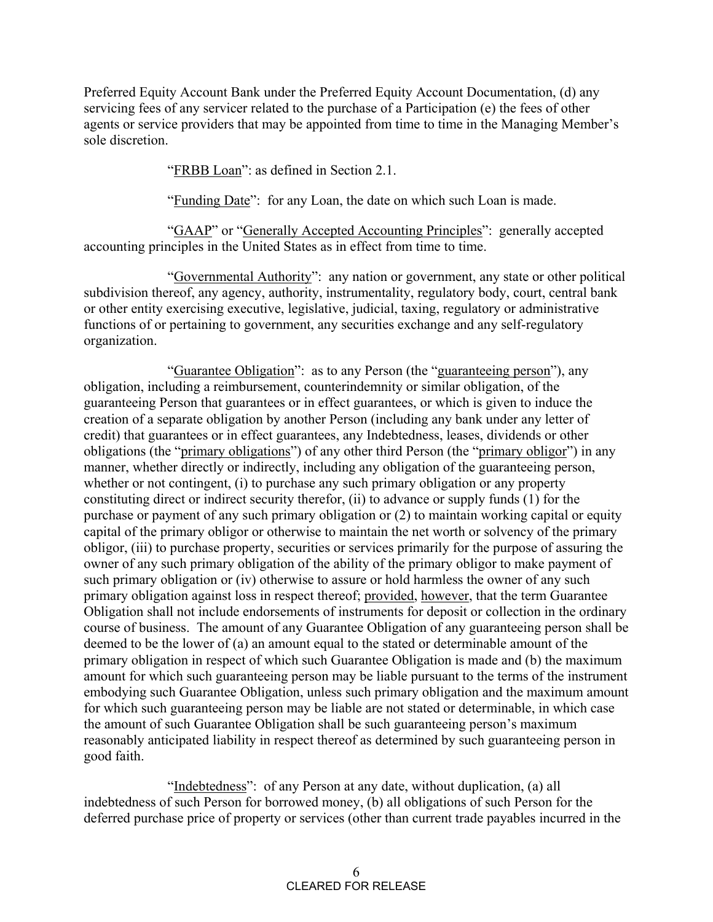Preferred Equity Account Bank under the Preferred Equity Account Documentation, (d) any servicing fees of any servicer related to the purchase of a Participation (e) the fees of other agents or service providers that may be appointed from time to time in the Managing Member's sole discretion.

"FRBB Loan": as defined in Section 2.1.

"Funding Date": for any Loan, the date on which such Loan is made.

"GAAP" or "Generally Accepted Accounting Principles": generally accepted accounting principles in the United States as in effect from time to time.

"Governmental Authority": any nation or government, any state or other political subdivision thereof, any agency, authority, instrumentality, regulatory body, court, central bank or other entity exercising executive, legislative, judicial, taxing, regulatory or administrative functions of or pertaining to government, any securities exchange and any self-regulatory organization.

"Guarantee Obligation": as to any Person (the "guaranteeing person"), any obligation, including a reimbursement, counterindemnity or similar obligation, of the guaranteeing Person that guarantees or in effect guarantees, or which is given to induce the creation of a separate obligation by another Person (including any bank under any letter of credit) that guarantees or in effect guarantees, any Indebtedness, leases, dividends or other obligations (the "primary obligations") of any other third Person (the "primary obligor") in any manner, whether directly or indirectly, including any obligation of the guaranteeing person, whether or not contingent, (i) to purchase any such primary obligation or any property constituting direct or indirect security therefor, (ii) to advance or supply funds (1) for the purchase or payment of any such primary obligation or (2) to maintain working capital or equity capital of the primary obligor or otherwise to maintain the net worth or solvency of the primary obligor, (iii) to purchase property, securities or services primarily for the purpose of assuring the owner of any such primary obligation of the ability of the primary obligor to make payment of such primary obligation or (iv) otherwise to assure or hold harmless the owner of any such primary obligation against loss in respect thereof; provided, however, that the term Guarantee Obligation shall not include endorsements of instruments for deposit or collection in the ordinary course of business. The amount of any Guarantee Obligation of any guaranteeing person shall be deemed to be the lower of (a) an amount equal to the stated or determinable amount of the primary obligation in respect of which such Guarantee Obligation is made and (b) the maximum amount for which such guaranteeing person may be liable pursuant to the terms of the instrument embodying such Guarantee Obligation, unless such primary obligation and the maximum amount for which such guaranteeing person may be liable are not stated or determinable, in which case the amount of such Guarantee Obligation shall be such guaranteeing person's maximum reasonably anticipated liability in respect thereof as determined by such guaranteeing person in good faith.

"Indebtedness": of any Person at any date, without duplication, (a) all indebtedness of such Person for borrowed money, (b) all obligations of such Person for the deferred purchase price of property or services (other than current trade payables incurred in the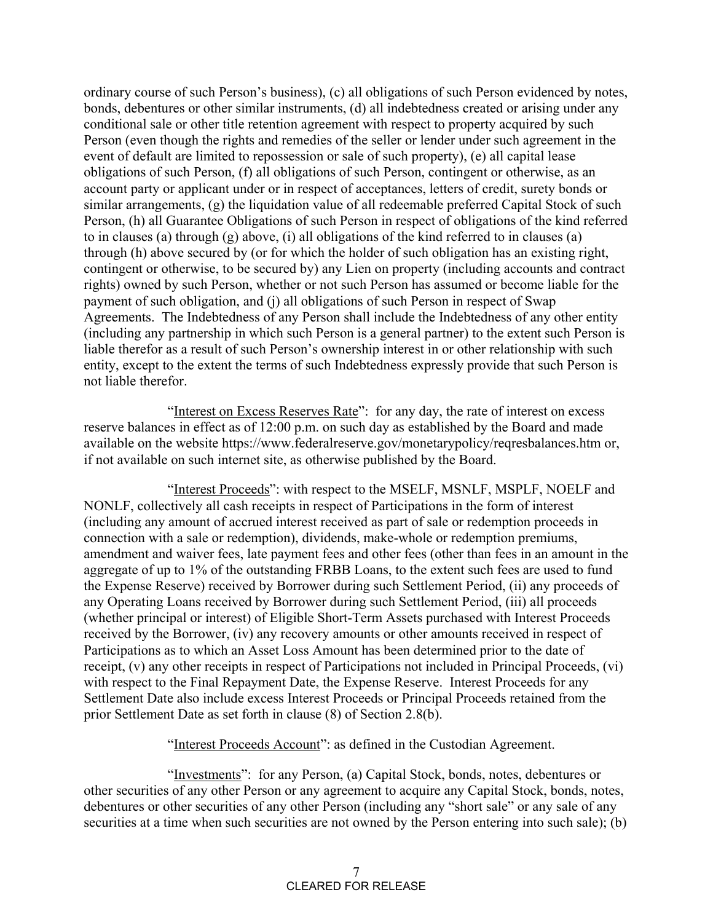ordinary course of such Person's business), (c) all obligations of such Person evidenced by notes, bonds, debentures or other similar instruments, (d) all indebtedness created or arising under any conditional sale or other title retention agreement with respect to property acquired by such Person (even though the rights and remedies of the seller or lender under such agreement in the event of default are limited to repossession or sale of such property), (e) all capital lease obligations of such Person, (f) all obligations of such Person, contingent or otherwise, as an account party or applicant under or in respect of acceptances, letters of credit, surety bonds or similar arrangements, (g) the liquidation value of all redeemable preferred Capital Stock of such Person, (h) all Guarantee Obligations of such Person in respect of obligations of the kind referred to in clauses (a) through (g) above, (i) all obligations of the kind referred to in clauses (a) through (h) above secured by (or for which the holder of such obligation has an existing right, contingent or otherwise, to be secured by) any Lien on property (including accounts and contract rights) owned by such Person, whether or not such Person has assumed or become liable for the payment of such obligation, and (j) all obligations of such Person in respect of Swap Agreements. The Indebtedness of any Person shall include the Indebtedness of any other entity (including any partnership in which such Person is a general partner) to the extent such Person is liable therefor as a result of such Person's ownership interest in or other relationship with such entity, except to the extent the terms of such Indebtedness expressly provide that such Person is not liable therefor.

"Interest on Excess Reserves Rate": for any day, the rate of interest on excess reserve balances in effect as of 12:00 p.m. on such day as established by the Board and made available on the website https://www.federalreserve.gov/monetarypolicy/reqresbalances.htm or, if not available on such internet site, as otherwise published by the Board.

"Interest Proceeds": with respect to the MSELF, MSNLF, MSPLF, NOELF and NONLF, collectively all cash receipts in respect of Participations in the form of interest (including any amount of accrued interest received as part of sale or redemption proceeds in connection with a sale or redemption), dividends, make-whole or redemption premiums, amendment and waiver fees, late payment fees and other fees (other than fees in an amount in the aggregate of up to 1% of the outstanding FRBB Loans, to the extent such fees are used to fund the Expense Reserve) received by Borrower during such Settlement Period, (ii) any proceeds of any Operating Loans received by Borrower during such Settlement Period, (iii) all proceeds (whether principal or interest) of Eligible Short-Term Assets purchased with Interest Proceeds received by the Borrower, (iv) any recovery amounts or other amounts received in respect of Participations as to which an Asset Loss Amount has been determined prior to the date of receipt, (v) any other receipts in respect of Participations not included in Principal Proceeds, (vi) with respect to the Final Repayment Date, the Expense Reserve. Interest Proceeds for any Settlement Date also include excess Interest Proceeds or Principal Proceeds retained from the prior Settlement Date as set forth in clause (8) of Section 2.8(b).

"Interest Proceeds Account": as defined in the Custodian Agreement.

"Investments": for any Person, (a) Capital Stock, bonds, notes, debentures or other securities of any other Person or any agreement to acquire any Capital Stock, bonds, notes, debentures or other securities of any other Person (including any "short sale" or any sale of any securities at a time when such securities are not owned by the Person entering into such sale); (b)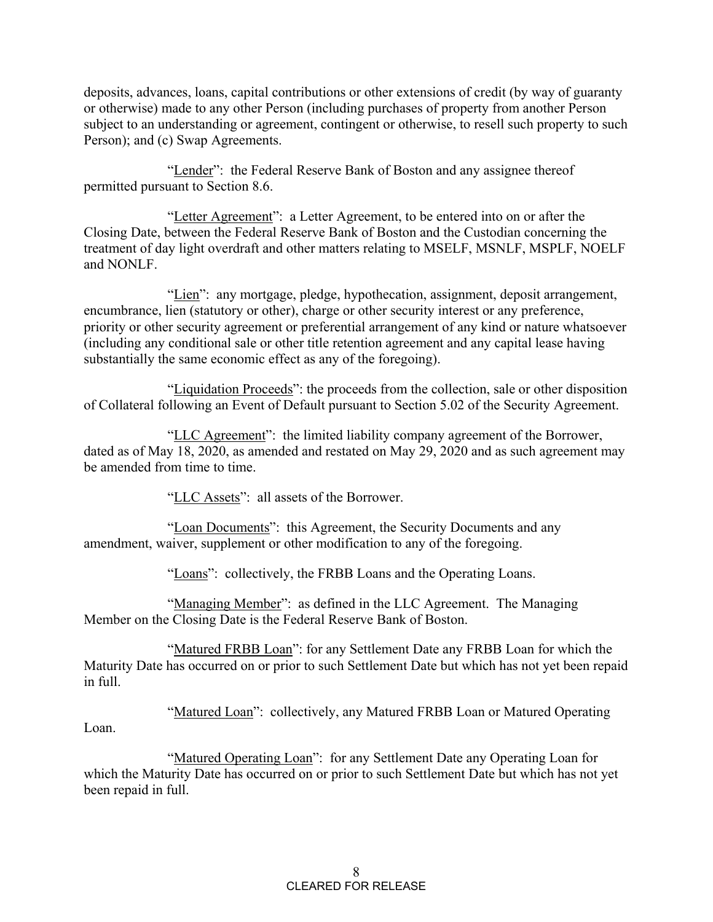deposits, advances, loans, capital contributions or other extensions of credit (by way of guaranty or otherwise) made to any other Person (including purchases of property from another Person subject to an understanding or agreement, contingent or otherwise, to resell such property to such Person); and (c) Swap Agreements.

"Lender": the Federal Reserve Bank of Boston and any assignee thereof permitted pursuant to Section 8.6.

"Letter Agreement": a Letter Agreement, to be entered into on or after the Closing Date, between the Federal Reserve Bank of Boston and the Custodian concerning the treatment of day light overdraft and other matters relating to MSELF, MSNLF, MSPLF, NOELF and NONLF.

"Lien": any mortgage, pledge, hypothecation, assignment, deposit arrangement, encumbrance, lien (statutory or other), charge or other security interest or any preference, priority or other security agreement or preferential arrangement of any kind or nature whatsoever (including any conditional sale or other title retention agreement and any capital lease having substantially the same economic effect as any of the foregoing).

"Liquidation Proceeds": the proceeds from the collection, sale or other disposition of Collateral following an Event of Default pursuant to Section 5.02 of the Security Agreement.

"LLC Agreement": the limited liability company agreement of the Borrower, dated as of May 18, 2020, as amended and restated on May 29, 2020 and as such agreement may be amended from time to time.

"LLC Assets": all assets of the Borrower.

"Loan Documents": this Agreement, the Security Documents and any amendment, waiver, supplement or other modification to any of the foregoing.

"Loans": collectively, the FRBB Loans and the Operating Loans.

"Managing Member": as defined in the LLC Agreement. The Managing Member on the Closing Date is the Federal Reserve Bank of Boston.

"Matured FRBB Loan": for any Settlement Date any FRBB Loan for which the Maturity Date has occurred on or prior to such Settlement Date but which has not yet been repaid in full.

"Matured Loan": collectively, any Matured FRBB Loan or Matured Operating Loan.

"Matured Operating Loan": for any Settlement Date any Operating Loan for which the Maturity Date has occurred on or prior to such Settlement Date but which has not yet been repaid in full.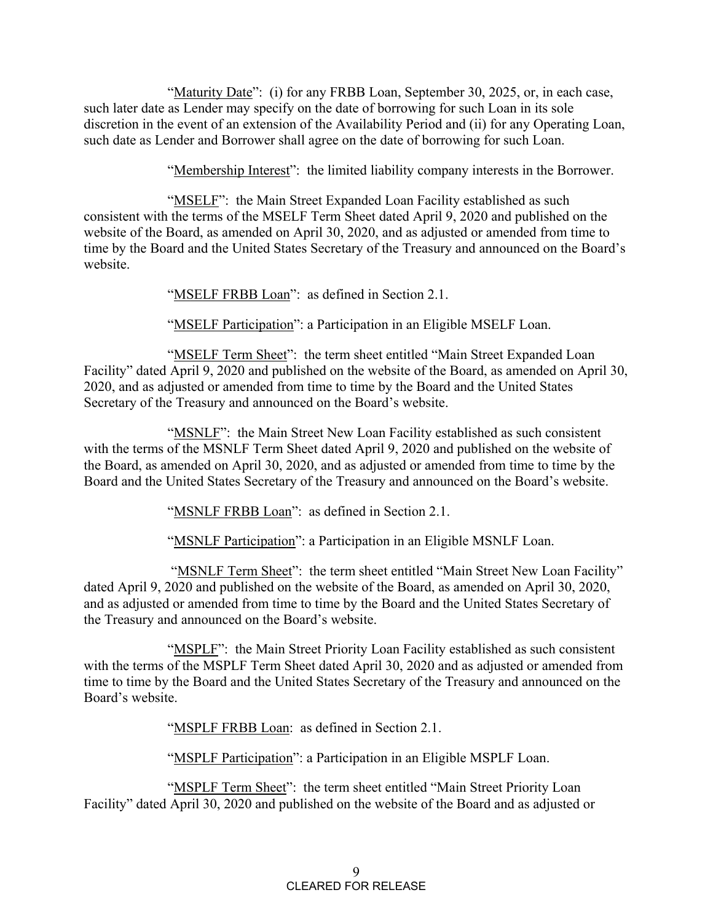"Maturity Date": (i) for any FRBB Loan, September 30, 2025, or, in each case, such later date as Lender may specify on the date of borrowing for such Loan in its sole discretion in the event of an extension of the Availability Period and (ii) for any Operating Loan, such date as Lender and Borrower shall agree on the date of borrowing for such Loan.

"Membership Interest": the limited liability company interests in the Borrower.

"MSELF": the Main Street Expanded Loan Facility established as such consistent with the terms of the MSELF Term Sheet dated April 9, 2020 and published on the website of the Board, as amended on April 30, 2020, and as adjusted or amended from time to time by the Board and the United States Secretary of the Treasury and announced on the Board's website.

"MSELF FRBB Loan": as defined in Section 2.1.

"MSELF Participation": a Participation in an Eligible MSELF Loan.

"MSELF Term Sheet": the term sheet entitled "Main Street Expanded Loan Facility" dated April 9, 2020 and published on the website of the Board, as amended on April 30, 2020, and as adjusted or amended from time to time by the Board and the United States Secretary of the Treasury and announced on the Board's website.

"MSNLF": the Main Street New Loan Facility established as such consistent with the terms of the MSNLF Term Sheet dated April 9, 2020 and published on the website of the Board, as amended on April 30, 2020, and as adjusted or amended from time to time by the Board and the United States Secretary of the Treasury and announced on the Board's website.

"MSNLF FRBB Loan": as defined in Section 2.1.

"MSNLF Participation": a Participation in an Eligible MSNLF Loan.

"MSNLF Term Sheet": the term sheet entitled "Main Street New Loan Facility" dated April 9, 2020 and published on the website of the Board, as amended on April 30, 2020, and as adjusted or amended from time to time by the Board and the United States Secretary of the Treasury and announced on the Board's website.

"MSPLF": the Main Street Priority Loan Facility established as such consistent with the terms of the MSPLF Term Sheet dated April 30, 2020 and as adjusted or amended from time to time by the Board and the United States Secretary of the Treasury and announced on the Board's website.

"MSPLF FRBB Loan: as defined in Section 2.1.

"MSPLF Participation": a Participation in an Eligible MSPLF Loan.

"MSPLF Term Sheet": the term sheet entitled "Main Street Priority Loan Facility" dated April 30, 2020 and published on the website of the Board and as adjusted or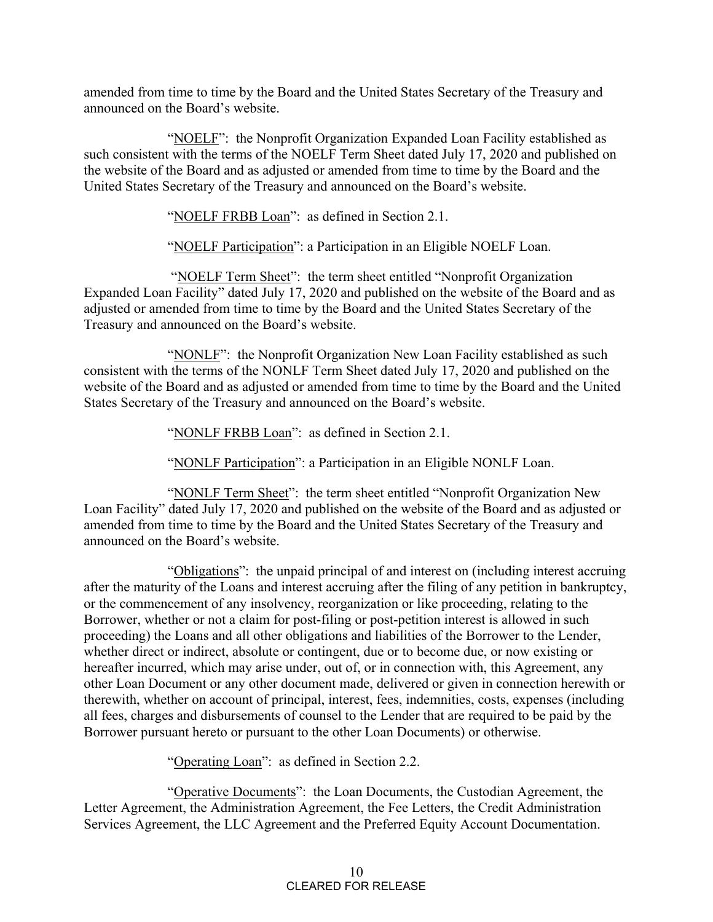amended from time to time by the Board and the United States Secretary of the Treasury and announced on the Board's website.

"NOELF": the Nonprofit Organization Expanded Loan Facility established as such consistent with the terms of the NOELF Term Sheet dated July 17, 2020 and published on the website of the Board and as adjusted or amended from time to time by the Board and the United States Secretary of the Treasury and announced on the Board's website.

"NOELF FRBB Loan": as defined in Section 2.1.

"NOELF Participation": a Participation in an Eligible NOELF Loan.

"NOELF Term Sheet": the term sheet entitled "Nonprofit Organization" Expanded Loan Facility" dated July 17, 2020 and published on the website of the Board and as adjusted or amended from time to time by the Board and the United States Secretary of the Treasury and announced on the Board's website.

"NONLF": the Nonprofit Organization New Loan Facility established as such consistent with the terms of the NONLF Term Sheet dated July 17, 2020 and published on the website of the Board and as adjusted or amended from time to time by the Board and the United States Secretary of the Treasury and announced on the Board's website.

"NONLF FRBB Loan": as defined in Section 2.1.

"NONLF Participation": a Participation in an Eligible NONLF Loan.

"NONLF Term Sheet": the term sheet entitled "Nonprofit Organization New Loan Facility" dated July 17, 2020 and published on the website of the Board and as adjusted or amended from time to time by the Board and the United States Secretary of the Treasury and announced on the Board's website.

"Obligations": the unpaid principal of and interest on (including interest accruing after the maturity of the Loans and interest accruing after the filing of any petition in bankruptcy, or the commencement of any insolvency, reorganization or like proceeding, relating to the Borrower, whether or not a claim for post-filing or post-petition interest is allowed in such proceeding) the Loans and all other obligations and liabilities of the Borrower to the Lender, whether direct or indirect, absolute or contingent, due or to become due, or now existing or hereafter incurred, which may arise under, out of, or in connection with, this Agreement, any other Loan Document or any other document made, delivered or given in connection herewith or therewith, whether on account of principal, interest, fees, indemnities, costs, expenses (including all fees, charges and disbursements of counsel to the Lender that are required to be paid by the Borrower pursuant hereto or pursuant to the other Loan Documents) or otherwise.

"Operating Loan": as defined in Section 2.2.

"Operative Documents": the Loan Documents, the Custodian Agreement, the Letter Agreement, the Administration Agreement, the Fee Letters, the Credit Administration Services Agreement, the LLC Agreement and the Preferred Equity Account Documentation.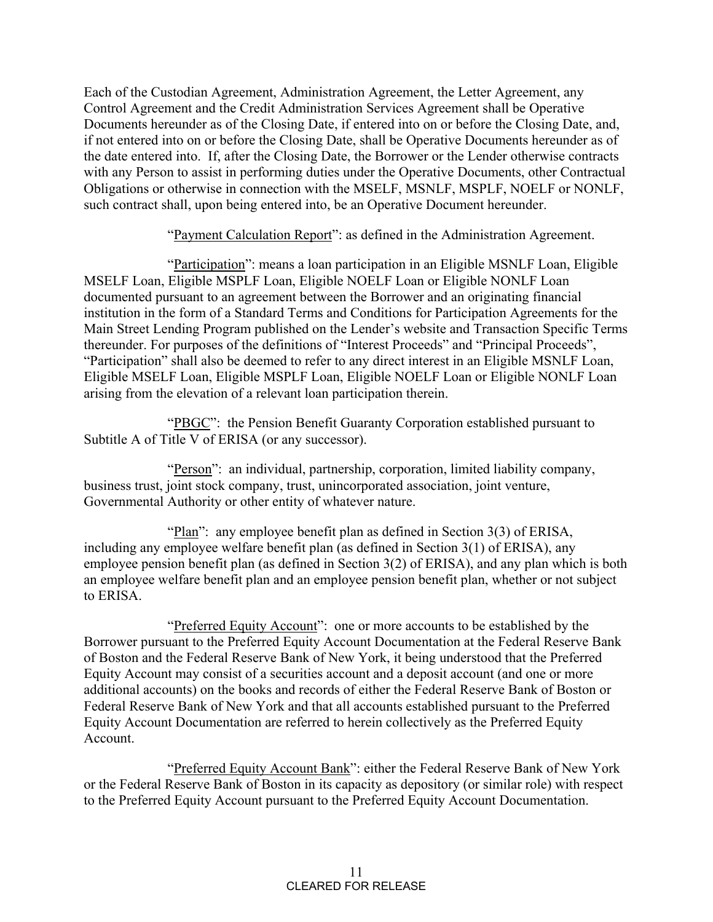Each of the Custodian Agreement, Administration Agreement, the Letter Agreement, any Control Agreement and the Credit Administration Services Agreement shall be Operative Documents hereunder as of the Closing Date, if entered into on or before the Closing Date, and, if not entered into on or before the Closing Date, shall be Operative Documents hereunder as of the date entered into. If, after the Closing Date, the Borrower or the Lender otherwise contracts with any Person to assist in performing duties under the Operative Documents, other Contractual Obligations or otherwise in connection with the MSELF, MSNLF, MSPLF, NOELF or NONLF, such contract shall, upon being entered into, be an Operative Document hereunder.

"Payment Calculation Report": as defined in the Administration Agreement.

"Participation": means a loan participation in an Eligible MSNLF Loan, Eligible MSELF Loan, Eligible MSPLF Loan, Eligible NOELF Loan or Eligible NONLF Loan documented pursuant to an agreement between the Borrower and an originating financial institution in the form of a Standard Terms and Conditions for Participation Agreements for the Main Street Lending Program published on the Lender's website and Transaction Specific Terms thereunder. For purposes of the definitions of "Interest Proceeds" and "Principal Proceeds", "Participation" shall also be deemed to refer to any direct interest in an Eligible MSNLF Loan, Eligible MSELF Loan, Eligible MSPLF Loan, Eligible NOELF Loan or Eligible NONLF Loan arising from the elevation of a relevant loan participation therein.

"PBGC": the Pension Benefit Guaranty Corporation established pursuant to Subtitle A of Title V of ERISA (or any successor).

"Person": an individual, partnership, corporation, limited liability company, business trust, joint stock company, trust, unincorporated association, joint venture, Governmental Authority or other entity of whatever nature.

"Plan": any employee benefit plan as defined in Section 3(3) of ERISA, including any employee welfare benefit plan (as defined in Section 3(1) of ERISA), any employee pension benefit plan (as defined in Section 3(2) of ERISA), and any plan which is both an employee welfare benefit plan and an employee pension benefit plan, whether or not subject to ERISA.

"Preferred Equity Account": one or more accounts to be established by the Borrower pursuant to the Preferred Equity Account Documentation at the Federal Reserve Bank of Boston and the Federal Reserve Bank of New York, it being understood that the Preferred Equity Account may consist of a securities account and a deposit account (and one or more additional accounts) on the books and records of either the Federal Reserve Bank of Boston or Federal Reserve Bank of New York and that all accounts established pursuant to the Preferred Equity Account Documentation are referred to herein collectively as the Preferred Equity Account.

"Preferred Equity Account Bank": either the Federal Reserve Bank of New York or the Federal Reserve Bank of Boston in its capacity as depository (or similar role) with respect to the Preferred Equity Account pursuant to the Preferred Equity Account Documentation.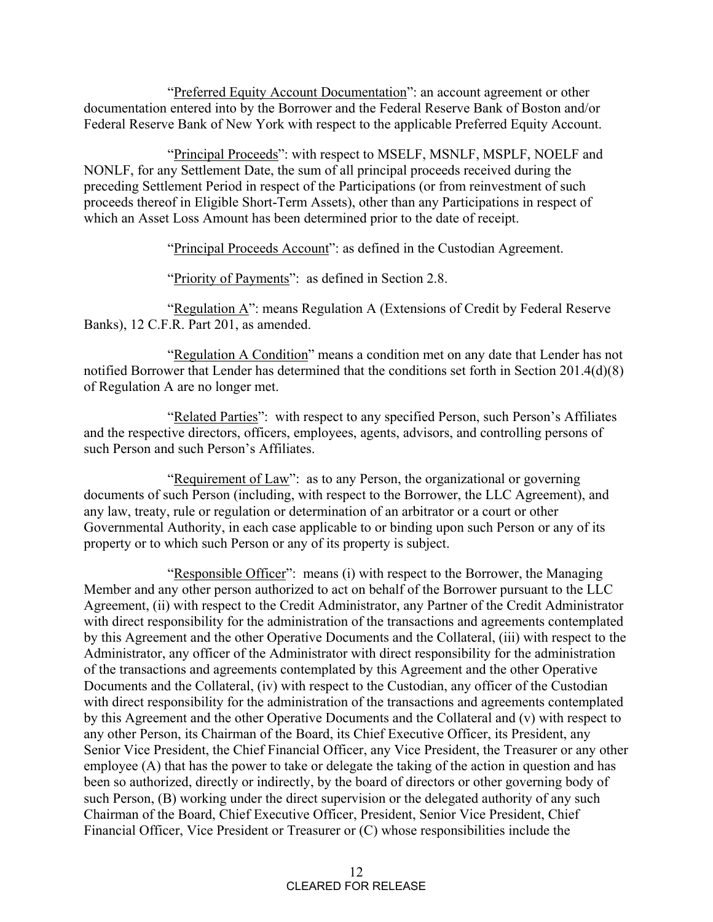"Preferred Equity Account Documentation": an account agreement or other documentation entered into by the Borrower and the Federal Reserve Bank of Boston and/or Federal Reserve Bank of New York with respect to the applicable Preferred Equity Account.

"Principal Proceeds": with respect to MSELF, MSNLF, MSPLF, NOELF and NONLF, for any Settlement Date, the sum of all principal proceeds received during the preceding Settlement Period in respect of the Participations (or from reinvestment of such proceeds thereof in Eligible Short-Term Assets), other than any Participations in respect of which an Asset Loss Amount has been determined prior to the date of receipt.

"Principal Proceeds Account": as defined in the Custodian Agreement.

"Priority of Payments": as defined in Section 2.8.

"Regulation A": means Regulation A (Extensions of Credit by Federal Reserve Banks), 12 C.F.R. Part 201, as amended.

"Regulation A Condition" means a condition met on any date that Lender has not notified Borrower that Lender has determined that the conditions set forth in Section 201.4(d)(8) of Regulation A are no longer met.

"Related Parties": with respect to any specified Person, such Person's Affiliates and the respective directors, officers, employees, agents, advisors, and controlling persons of such Person and such Person's Affiliates.

"Requirement of Law": as to any Person, the organizational or governing documents of such Person (including, with respect to the Borrower, the LLC Agreement), and any law, treaty, rule or regulation or determination of an arbitrator or a court or other Governmental Authority, in each case applicable to or binding upon such Person or any of its property or to which such Person or any of its property is subject.

"Responsible Officer": means (i) with respect to the Borrower, the Managing Member and any other person authorized to act on behalf of the Borrower pursuant to the LLC Agreement, (ii) with respect to the Credit Administrator, any Partner of the Credit Administrator with direct responsibility for the administration of the transactions and agreements contemplated by this Agreement and the other Operative Documents and the Collateral, (iii) with respect to the Administrator, any officer of the Administrator with direct responsibility for the administration of the transactions and agreements contemplated by this Agreement and the other Operative Documents and the Collateral, (iv) with respect to the Custodian, any officer of the Custodian with direct responsibility for the administration of the transactions and agreements contemplated by this Agreement and the other Operative Documents and the Collateral and (v) with respect to any other Person, its Chairman of the Board, its Chief Executive Officer, its President, any Senior Vice President, the Chief Financial Officer, any Vice President, the Treasurer or any other employee (A) that has the power to take or delegate the taking of the action in question and has been so authorized, directly or indirectly, by the board of directors or other governing body of such Person, (B) working under the direct supervision or the delegated authority of any such Chairman of the Board, Chief Executive Officer, President, Senior Vice President, Chief Financial Officer, Vice President or Treasurer or (C) whose responsibilities include the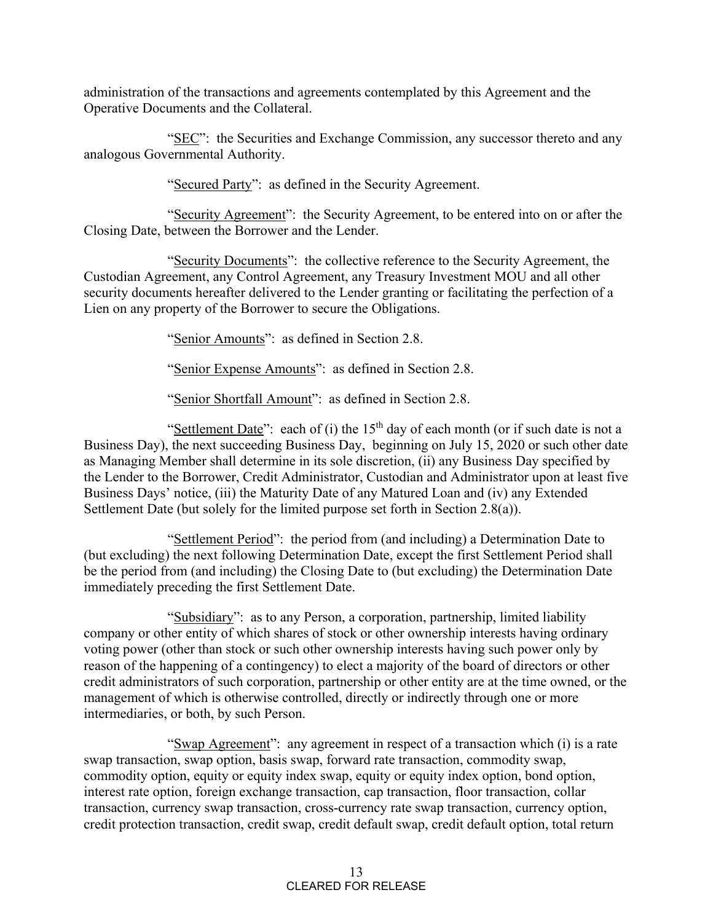administration of the transactions and agreements contemplated by this Agreement and the Operative Documents and the Collateral.

"SEC": the Securities and Exchange Commission, any successor thereto and any analogous Governmental Authority.

"Secured Party": as defined in the Security Agreement.

"Security Agreement": the Security Agreement, to be entered into on or after the Closing Date, between the Borrower and the Lender.

"Security Documents": the collective reference to the Security Agreement, the Custodian Agreement, any Control Agreement, any Treasury Investment MOU and all other security documents hereafter delivered to the Lender granting or facilitating the perfection of a Lien on any property of the Borrower to secure the Obligations.

"Senior Amounts": as defined in Section 2.8.

"Senior Expense Amounts": as defined in Section 2.8.

"Senior Shortfall Amount": as defined in Section 2.8.

"Settlement Date": each of (i) the  $15<sup>th</sup>$  day of each month (or if such date is not a Business Day), the next succeeding Business Day, beginning on July 15, 2020 or such other date as Managing Member shall determine in its sole discretion, (ii) any Business Day specified by the Lender to the Borrower, Credit Administrator, Custodian and Administrator upon at least five Business Days' notice, (iii) the Maturity Date of any Matured Loan and (iv) any Extended Settlement Date (but solely for the limited purpose set forth in Section 2.8(a)).

"Settlement Period": the period from (and including) a Determination Date to (but excluding) the next following Determination Date, except the first Settlement Period shall be the period from (and including) the Closing Date to (but excluding) the Determination Date immediately preceding the first Settlement Date.

"Subsidiary": as to any Person, a corporation, partnership, limited liability company or other entity of which shares of stock or other ownership interests having ordinary voting power (other than stock or such other ownership interests having such power only by reason of the happening of a contingency) to elect a majority of the board of directors or other credit administrators of such corporation, partnership or other entity are at the time owned, or the management of which is otherwise controlled, directly or indirectly through one or more intermediaries, or both, by such Person.

"Swap Agreement": any agreement in respect of a transaction which (i) is a rate swap transaction, swap option, basis swap, forward rate transaction, commodity swap, commodity option, equity or equity index swap, equity or equity index option, bond option, interest rate option, foreign exchange transaction, cap transaction, floor transaction, collar transaction, currency swap transaction, cross-currency rate swap transaction, currency option, credit protection transaction, credit swap, credit default swap, credit default option, total return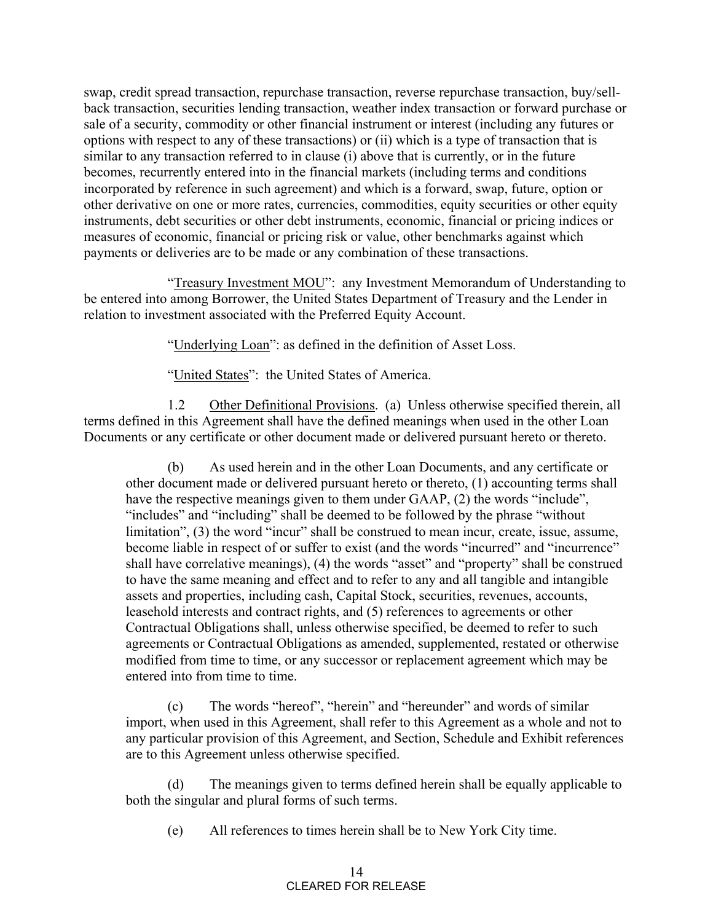swap, credit spread transaction, repurchase transaction, reverse repurchase transaction, buy/sellback transaction, securities lending transaction, weather index transaction or forward purchase or sale of a security, commodity or other financial instrument or interest (including any futures or options with respect to any of these transactions) or (ii) which is a type of transaction that is similar to any transaction referred to in clause (i) above that is currently, or in the future becomes, recurrently entered into in the financial markets (including terms and conditions incorporated by reference in such agreement) and which is a forward, swap, future, option or other derivative on one or more rates, currencies, commodities, equity securities or other equity instruments, debt securities or other debt instruments, economic, financial or pricing indices or measures of economic, financial or pricing risk or value, other benchmarks against which payments or deliveries are to be made or any combination of these transactions.

"Treasury Investment MOU": any Investment Memorandum of Understanding to be entered into among Borrower, the United States Department of Treasury and the Lender in relation to investment associated with the Preferred Equity Account.

"Underlying Loan": as defined in the definition of Asset Loss.

"United States": the United States of America.

1.2 Other Definitional Provisions. (a) Unless otherwise specified therein, all terms defined in this Agreement shall have the defined meanings when used in the other Loan Documents or any certificate or other document made or delivered pursuant hereto or thereto.

(b) As used herein and in the other Loan Documents, and any certificate or other document made or delivered pursuant hereto or thereto, (1) accounting terms shall have the respective meanings given to them under GAAP, (2) the words "include", "includes" and "including" shall be deemed to be followed by the phrase "without limitation", (3) the word "incur" shall be construed to mean incur, create, issue, assume, become liable in respect of or suffer to exist (and the words "incurred" and "incurrence" shall have correlative meanings), (4) the words "asset" and "property" shall be construed to have the same meaning and effect and to refer to any and all tangible and intangible assets and properties, including cash, Capital Stock, securities, revenues, accounts, leasehold interests and contract rights, and (5) references to agreements or other Contractual Obligations shall, unless otherwise specified, be deemed to refer to such agreements or Contractual Obligations as amended, supplemented, restated or otherwise modified from time to time, or any successor or replacement agreement which may be entered into from time to time.

(c) The words "hereof", "herein" and "hereunder" and words of similar import, when used in this Agreement, shall refer to this Agreement as a whole and not to any particular provision of this Agreement, and Section, Schedule and Exhibit references are to this Agreement unless otherwise specified.

(d) The meanings given to terms defined herein shall be equally applicable to both the singular and plural forms of such terms.

(e) All references to times herein shall be to New York City time.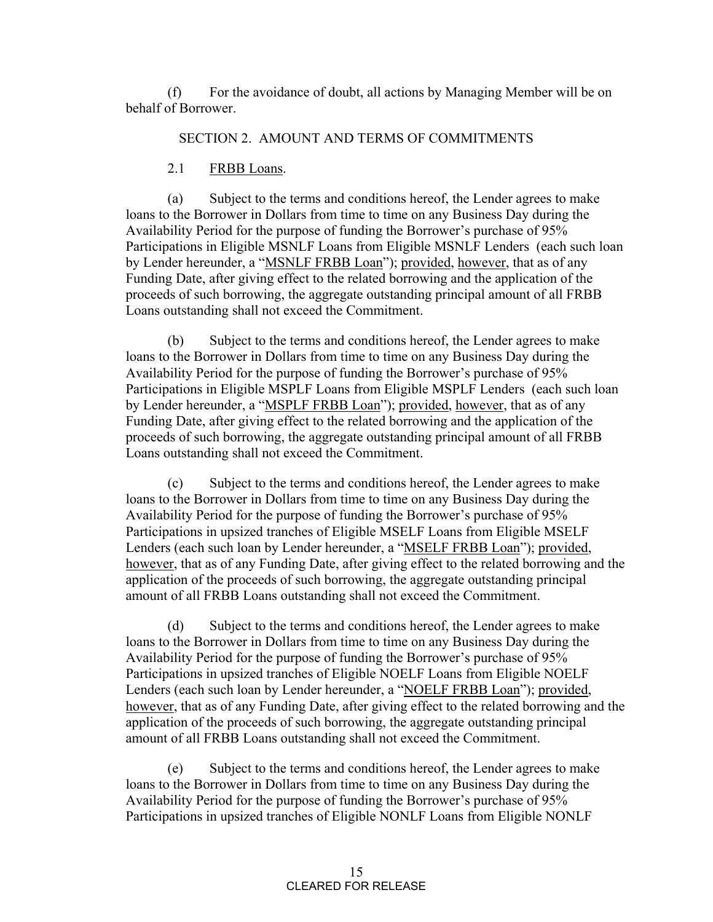(f) For the avoidance of doubt, all actions by Managing Member will be on behalf of Borrower.

## SECTION 2. AMOUNT AND TERMS OF COMMITMENTS

## 2.1 FRBB Loans.

(a) Subject to the terms and conditions hereof, the Lender agrees to make loans to the Borrower in Dollars from time to time on any Business Day during the Availability Period for the purpose of funding the Borrower's purchase of 95% Participations in Eligible MSNLF Loans from Eligible MSNLF Lenders (each such loan by Lender hereunder, a "MSNLF FRBB Loan"); provided, however, that as of any Funding Date, after giving effect to the related borrowing and the application of the proceeds of such borrowing, the aggregate outstanding principal amount of all FRBB Loans outstanding shall not exceed the Commitment.

(b) Subject to the terms and conditions hereof, the Lender agrees to make loans to the Borrower in Dollars from time to time on any Business Day during the Availability Period for the purpose of funding the Borrower's purchase of 95% Participations in Eligible MSPLF Loans from Eligible MSPLF Lenders (each such loan by Lender hereunder, a "MSPLF FRBB Loan"); provided, however, that as of any Funding Date, after giving effect to the related borrowing and the application of the proceeds of such borrowing, the aggregate outstanding principal amount of all FRBB Loans outstanding shall not exceed the Commitment.

(c) Subject to the terms and conditions hereof, the Lender agrees to make loans to the Borrower in Dollars from time to time on any Business Day during the Availability Period for the purpose of funding the Borrower's purchase of 95% Participations in upsized tranches of Eligible MSELF Loans from Eligible MSELF Lenders (each such loan by Lender hereunder, a "MSELF FRBB Loan"); provided, however, that as of any Funding Date, after giving effect to the related borrowing and the application of the proceeds of such borrowing, the aggregate outstanding principal amount of all FRBB Loans outstanding shall not exceed the Commitment.

(d) Subject to the terms and conditions hereof, the Lender agrees to make loans to the Borrower in Dollars from time to time on any Business Day during the Availability Period for the purpose of funding the Borrower's purchase of 95% Participations in upsized tranches of Eligible NOELF Loans from Eligible NOELF Lenders (each such loan by Lender hereunder, a "NOELF FRBB Loan"); provided, however, that as of any Funding Date, after giving effect to the related borrowing and the application of the proceeds of such borrowing, the aggregate outstanding principal amount of all FRBB Loans outstanding shall not exceed the Commitment.

(e) Subject to the terms and conditions hereof, the Lender agrees to make loans to the Borrower in Dollars from time to time on any Business Day during the Availability Period for the purpose of funding the Borrower's purchase of 95% Participations in upsized tranches of Eligible NONLF Loans from Eligible NONLF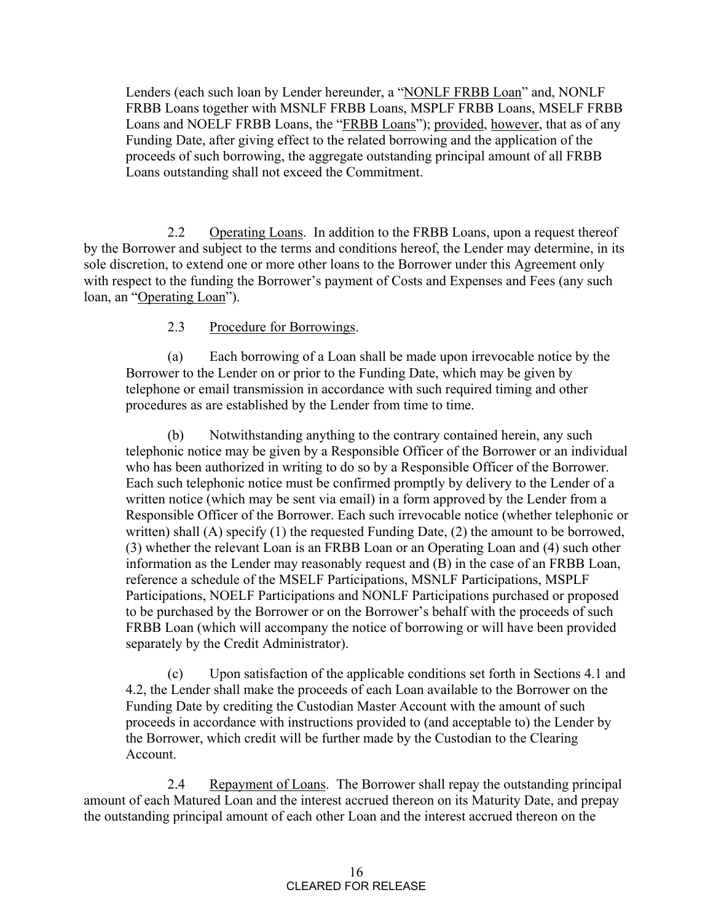Lenders (each such loan by Lender hereunder, a "NONLF FRBB Loan" and, NONLF FRBB Loans together with MSNLF FRBB Loans, MSPLF FRBB Loans, MSELF FRBB Loans and NOELF FRBB Loans, the "FRBB Loans"); provided, however, that as of any Funding Date, after giving effect to the related borrowing and the application of the proceeds of such borrowing, the aggregate outstanding principal amount of all FRBB Loans outstanding shall not exceed the Commitment.

2.2 Operating Loans. In addition to the FRBB Loans, upon a request thereof by the Borrower and subject to the terms and conditions hereof, the Lender may determine, in its sole discretion, to extend one or more other loans to the Borrower under this Agreement only with respect to the funding the Borrower's payment of Costs and Expenses and Fees (any such loan, an "Operating Loan").

## 2.3 Procedure for Borrowings.

(a) Each borrowing of a Loan shall be made upon irrevocable notice by the Borrower to the Lender on or prior to the Funding Date, which may be given by telephone or email transmission in accordance with such required timing and other procedures as are established by the Lender from time to time.

(b) Notwithstanding anything to the contrary contained herein, any such telephonic notice may be given by a Responsible Officer of the Borrower or an individual who has been authorized in writing to do so by a Responsible Officer of the Borrower. Each such telephonic notice must be confirmed promptly by delivery to the Lender of a written notice (which may be sent via email) in a form approved by the Lender from a Responsible Officer of the Borrower. Each such irrevocable notice (whether telephonic or written) shall (A) specify (1) the requested Funding Date, (2) the amount to be borrowed, (3) whether the relevant Loan is an FRBB Loan or an Operating Loan and (4) such other information as the Lender may reasonably request and (B) in the case of an FRBB Loan, reference a schedule of the MSELF Participations, MSNLF Participations, MSPLF Participations, NOELF Participations and NONLF Participations purchased or proposed to be purchased by the Borrower or on the Borrower's behalf with the proceeds of such FRBB Loan (which will accompany the notice of borrowing or will have been provided separately by the Credit Administrator).

(c) Upon satisfaction of the applicable conditions set forth in Sections 4.1 and 4.2, the Lender shall make the proceeds of each Loan available to the Borrower on the Funding Date by crediting the Custodian Master Account with the amount of such proceeds in accordance with instructions provided to (and acceptable to) the Lender by the Borrower, which credit will be further made by the Custodian to the Clearing Account.

2.4 Repayment of Loans. The Borrower shall repay the outstanding principal amount of each Matured Loan and the interest accrued thereon on its Maturity Date, and prepay the outstanding principal amount of each other Loan and the interest accrued thereon on the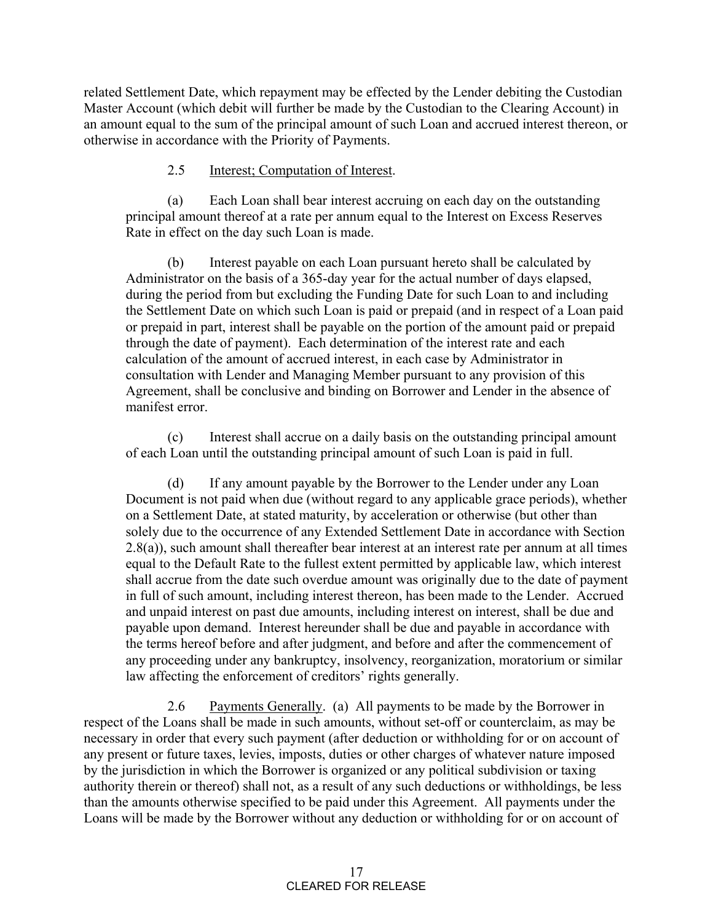related Settlement Date, which repayment may be effected by the Lender debiting the Custodian Master Account (which debit will further be made by the Custodian to the Clearing Account) in an amount equal to the sum of the principal amount of such Loan and accrued interest thereon, or otherwise in accordance with the Priority of Payments.

## 2.5 Interest; Computation of Interest.

(a) Each Loan shall bear interest accruing on each day on the outstanding principal amount thereof at a rate per annum equal to the Interest on Excess Reserves Rate in effect on the day such Loan is made.

(b) Interest payable on each Loan pursuant hereto shall be calculated by Administrator on the basis of a 365-day year for the actual number of days elapsed, during the period from but excluding the Funding Date for such Loan to and including the Settlement Date on which such Loan is paid or prepaid (and in respect of a Loan paid or prepaid in part, interest shall be payable on the portion of the amount paid or prepaid through the date of payment). Each determination of the interest rate and each calculation of the amount of accrued interest, in each case by Administrator in consultation with Lender and Managing Member pursuant to any provision of this Agreement, shall be conclusive and binding on Borrower and Lender in the absence of manifest error.

(c) Interest shall accrue on a daily basis on the outstanding principal amount of each Loan until the outstanding principal amount of such Loan is paid in full.

(d) If any amount payable by the Borrower to the Lender under any Loan Document is not paid when due (without regard to any applicable grace periods), whether on a Settlement Date, at stated maturity, by acceleration or otherwise (but other than solely due to the occurrence of any Extended Settlement Date in accordance with Section  $2.8(a)$ ), such amount shall thereafter bear interest at an interest rate per annum at all times equal to the Default Rate to the fullest extent permitted by applicable law, which interest shall accrue from the date such overdue amount was originally due to the date of payment in full of such amount, including interest thereon, has been made to the Lender. Accrued and unpaid interest on past due amounts, including interest on interest, shall be due and payable upon demand. Interest hereunder shall be due and payable in accordance with the terms hereof before and after judgment, and before and after the commencement of any proceeding under any bankruptcy, insolvency, reorganization, moratorium or similar law affecting the enforcement of creditors' rights generally.

2.6 Payments Generally. (a) All payments to be made by the Borrower in respect of the Loans shall be made in such amounts, without set-off or counterclaim, as may be necessary in order that every such payment (after deduction or withholding for or on account of any present or future taxes, levies, imposts, duties or other charges of whatever nature imposed by the jurisdiction in which the Borrower is organized or any political subdivision or taxing authority therein or thereof) shall not, as a result of any such deductions or withholdings, be less than the amounts otherwise specified to be paid under this Agreement. All payments under the Loans will be made by the Borrower without any deduction or withholding for or on account of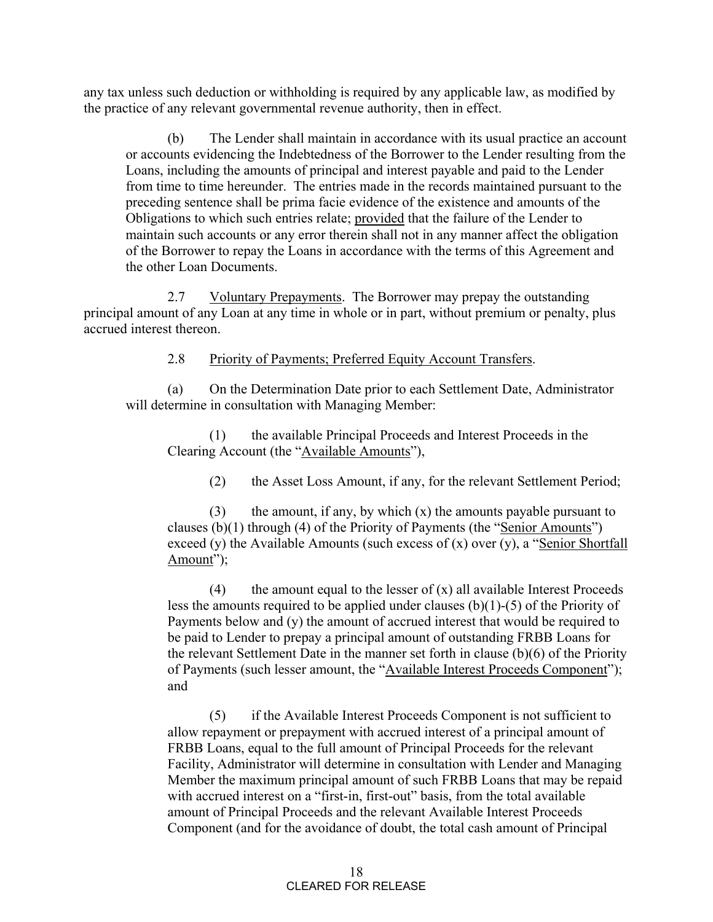any tax unless such deduction or withholding is required by any applicable law, as modified by the practice of any relevant governmental revenue authority, then in effect.

(b) The Lender shall maintain in accordance with its usual practice an account or accounts evidencing the Indebtedness of the Borrower to the Lender resulting from the Loans, including the amounts of principal and interest payable and paid to the Lender from time to time hereunder. The entries made in the records maintained pursuant to the preceding sentence shall be prima facie evidence of the existence and amounts of the Obligations to which such entries relate; provided that the failure of the Lender to maintain such accounts or any error therein shall not in any manner affect the obligation of the Borrower to repay the Loans in accordance with the terms of this Agreement and the other Loan Documents.

2.7 Voluntary Prepayments. The Borrower may prepay the outstanding principal amount of any Loan at any time in whole or in part, without premium or penalty, plus accrued interest thereon.

2.8 Priority of Payments; Preferred Equity Account Transfers.

(a) On the Determination Date prior to each Settlement Date, Administrator will determine in consultation with Managing Member:

(1) the available Principal Proceeds and Interest Proceeds in the Clearing Account (the "Available Amounts"),

(2) the Asset Loss Amount, if any, for the relevant Settlement Period;

(3) the amount, if any, by which  $(x)$  the amounts payable pursuant to clauses (b)(1) through (4) of the Priority of Payments (the "Senior Amounts") exceed (y) the Available Amounts (such excess of  $(x)$  over  $(y)$ , a "Senior Shortfall Amount");

(4) the amount equal to the lesser of  $(x)$  all available Interest Proceeds less the amounts required to be applied under clauses (b)(1)-(5) of the Priority of Payments below and (y) the amount of accrued interest that would be required to be paid to Lender to prepay a principal amount of outstanding FRBB Loans for the relevant Settlement Date in the manner set forth in clause (b)(6) of the Priority of Payments (such lesser amount, the "Available Interest Proceeds Component"); and

(5) if the Available Interest Proceeds Component is not sufficient to allow repayment or prepayment with accrued interest of a principal amount of FRBB Loans, equal to the full amount of Principal Proceeds for the relevant Facility, Administrator will determine in consultation with Lender and Managing Member the maximum principal amount of such FRBB Loans that may be repaid with accrued interest on a "first-in, first-out" basis, from the total available amount of Principal Proceeds and the relevant Available Interest Proceeds Component (and for the avoidance of doubt, the total cash amount of Principal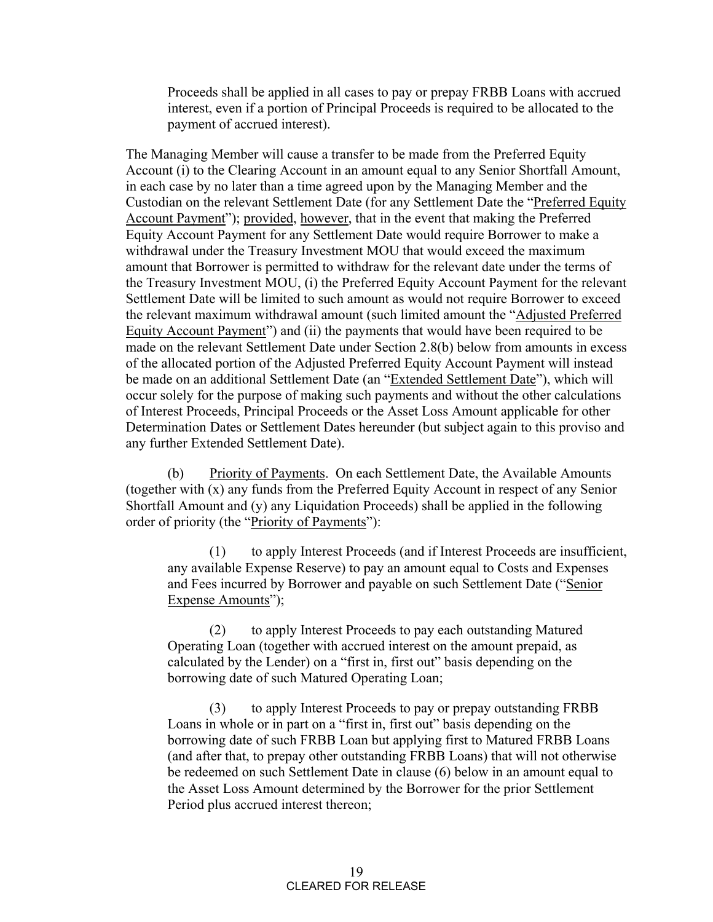Proceeds shall be applied in all cases to pay or prepay FRBB Loans with accrued interest, even if a portion of Principal Proceeds is required to be allocated to the payment of accrued interest).

The Managing Member will cause a transfer to be made from the Preferred Equity Account (i) to the Clearing Account in an amount equal to any Senior Shortfall Amount, in each case by no later than a time agreed upon by the Managing Member and the Custodian on the relevant Settlement Date (for any Settlement Date the "Preferred Equity Account Payment"); provided, however, that in the event that making the Preferred Equity Account Payment for any Settlement Date would require Borrower to make a withdrawal under the Treasury Investment MOU that would exceed the maximum amount that Borrower is permitted to withdraw for the relevant date under the terms of the Treasury Investment MOU, (i) the Preferred Equity Account Payment for the relevant Settlement Date will be limited to such amount as would not require Borrower to exceed the relevant maximum withdrawal amount (such limited amount the "Adjusted Preferred Equity Account Payment") and (ii) the payments that would have been required to be made on the relevant Settlement Date under Section 2.8(b) below from amounts in excess of the allocated portion of the Adjusted Preferred Equity Account Payment will instead be made on an additional Settlement Date (an "Extended Settlement Date"), which will occur solely for the purpose of making such payments and without the other calculations of Interest Proceeds, Principal Proceeds or the Asset Loss Amount applicable for other Determination Dates or Settlement Dates hereunder (but subject again to this proviso and any further Extended Settlement Date).

(b) Priority of Payments. On each Settlement Date, the Available Amounts (together with (x) any funds from the Preferred Equity Account in respect of any Senior Shortfall Amount and (y) any Liquidation Proceeds) shall be applied in the following order of priority (the "Priority of Payments"):

(1) to apply Interest Proceeds (and if Interest Proceeds are insufficient, any available Expense Reserve) to pay an amount equal to Costs and Expenses and Fees incurred by Borrower and payable on such Settlement Date ("Senior Expense Amounts");

(2) to apply Interest Proceeds to pay each outstanding Matured Operating Loan (together with accrued interest on the amount prepaid, as calculated by the Lender) on a "first in, first out" basis depending on the borrowing date of such Matured Operating Loan;

(3) to apply Interest Proceeds to pay or prepay outstanding FRBB Loans in whole or in part on a "first in, first out" basis depending on the borrowing date of such FRBB Loan but applying first to Matured FRBB Loans (and after that, to prepay other outstanding FRBB Loans) that will not otherwise be redeemed on such Settlement Date in clause (6) below in an amount equal to the Asset Loss Amount determined by the Borrower for the prior Settlement Period plus accrued interest thereon;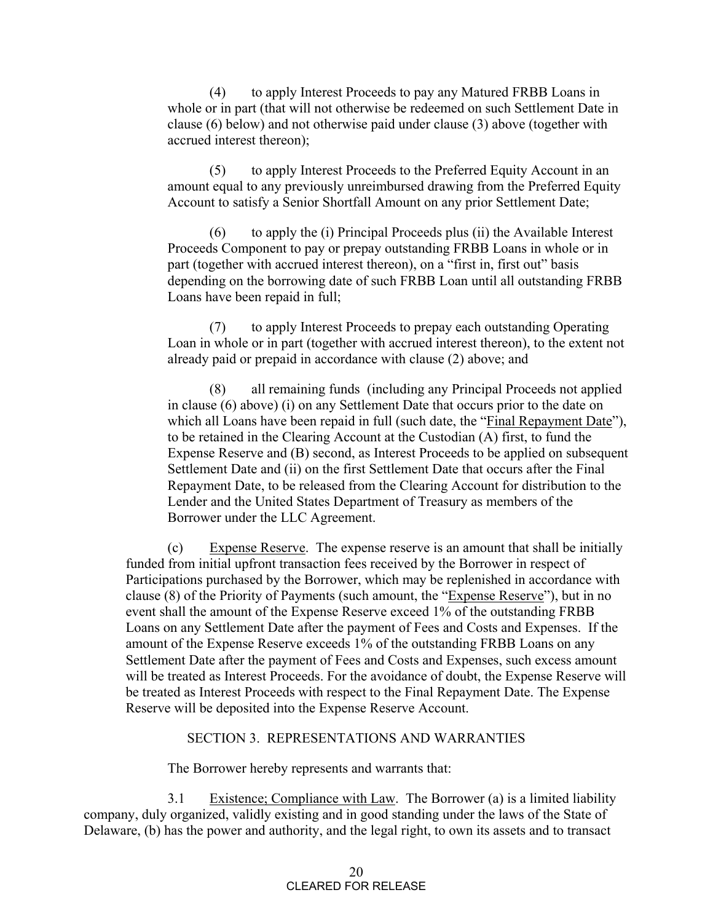(4) to apply Interest Proceeds to pay any Matured FRBB Loans in whole or in part (that will not otherwise be redeemed on such Settlement Date in clause (6) below) and not otherwise paid under clause (3) above (together with accrued interest thereon);

(5) to apply Interest Proceeds to the Preferred Equity Account in an amount equal to any previously unreimbursed drawing from the Preferred Equity Account to satisfy a Senior Shortfall Amount on any prior Settlement Date;

(6) to apply the (i) Principal Proceeds plus (ii) the Available Interest Proceeds Component to pay or prepay outstanding FRBB Loans in whole or in part (together with accrued interest thereon), on a "first in, first out" basis depending on the borrowing date of such FRBB Loan until all outstanding FRBB Loans have been repaid in full;

(7) to apply Interest Proceeds to prepay each outstanding Operating Loan in whole or in part (together with accrued interest thereon), to the extent not already paid or prepaid in accordance with clause (2) above; and

all remaining funds (including any Principal Proceeds not applied in clause (6) above) (i) on any Settlement Date that occurs prior to the date on which all Loans have been repaid in full (such date, the "Final Repayment Date"), to be retained in the Clearing Account at the Custodian (A) first, to fund the Expense Reserve and (B) second, as Interest Proceeds to be applied on subsequent Settlement Date and (ii) on the first Settlement Date that occurs after the Final Repayment Date, to be released from the Clearing Account for distribution to the Lender and the United States Department of Treasury as members of the Borrower under the LLC Agreement.

(c) Expense Reserve. The expense reserve is an amount that shall be initially funded from initial upfront transaction fees received by the Borrower in respect of Participations purchased by the Borrower, which may be replenished in accordance with clause (8) of the Priority of Payments (such amount, the "Expense Reserve"), but in no event shall the amount of the Expense Reserve exceed 1% of the outstanding FRBB Loans on any Settlement Date after the payment of Fees and Costs and Expenses. If the amount of the Expense Reserve exceeds 1% of the outstanding FRBB Loans on any Settlement Date after the payment of Fees and Costs and Expenses, such excess amount will be treated as Interest Proceeds. For the avoidance of doubt, the Expense Reserve will be treated as Interest Proceeds with respect to the Final Repayment Date. The Expense Reserve will be deposited into the Expense Reserve Account.

#### SECTION 3. REPRESENTATIONS AND WARRANTIES

The Borrower hereby represents and warrants that:

3.1 Existence; Compliance with Law. The Borrower (a) is a limited liability company, duly organized, validly existing and in good standing under the laws of the State of Delaware, (b) has the power and authority, and the legal right, to own its assets and to transact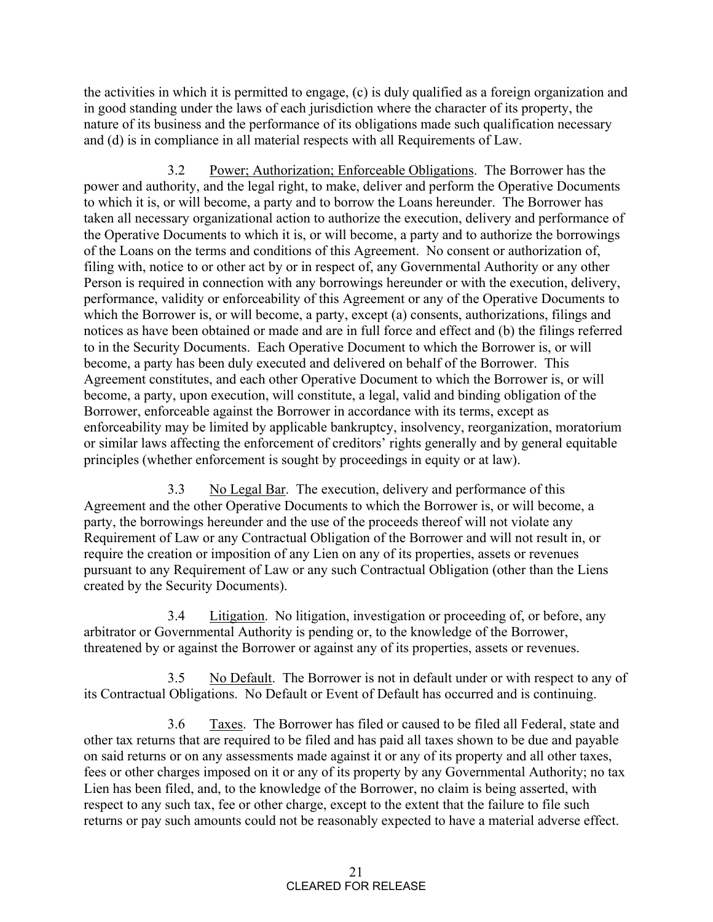the activities in which it is permitted to engage, (c) is duly qualified as a foreign organization and in good standing under the laws of each jurisdiction where the character of its property, the nature of its business and the performance of its obligations made such qualification necessary and (d) is in compliance in all material respects with all Requirements of Law.

3.2 Power; Authorization; Enforceable Obligations. The Borrower has the power and authority, and the legal right, to make, deliver and perform the Operative Documents to which it is, or will become, a party and to borrow the Loans hereunder. The Borrower has taken all necessary organizational action to authorize the execution, delivery and performance of the Operative Documents to which it is, or will become, a party and to authorize the borrowings of the Loans on the terms and conditions of this Agreement. No consent or authorization of, filing with, notice to or other act by or in respect of, any Governmental Authority or any other Person is required in connection with any borrowings hereunder or with the execution, delivery, performance, validity or enforceability of this Agreement or any of the Operative Documents to which the Borrower is, or will become, a party, except (a) consents, authorizations, filings and notices as have been obtained or made and are in full force and effect and (b) the filings referred to in the Security Documents. Each Operative Document to which the Borrower is, or will become, a party has been duly executed and delivered on behalf of the Borrower. This Agreement constitutes, and each other Operative Document to which the Borrower is, or will become, a party, upon execution, will constitute, a legal, valid and binding obligation of the Borrower, enforceable against the Borrower in accordance with its terms, except as enforceability may be limited by applicable bankruptcy, insolvency, reorganization, moratorium or similar laws affecting the enforcement of creditors' rights generally and by general equitable principles (whether enforcement is sought by proceedings in equity or at law).

3.3 No Legal Bar. The execution, delivery and performance of this Agreement and the other Operative Documents to which the Borrower is, or will become, a party, the borrowings hereunder and the use of the proceeds thereof will not violate any Requirement of Law or any Contractual Obligation of the Borrower and will not result in, or require the creation or imposition of any Lien on any of its properties, assets or revenues pursuant to any Requirement of Law or any such Contractual Obligation (other than the Liens created by the Security Documents).

3.4 Litigation. No litigation, investigation or proceeding of, or before, any arbitrator or Governmental Authority is pending or, to the knowledge of the Borrower, threatened by or against the Borrower or against any of its properties, assets or revenues.

3.5 No Default. The Borrower is not in default under or with respect to any of its Contractual Obligations. No Default or Event of Default has occurred and is continuing.

3.6 Taxes. The Borrower has filed or caused to be filed all Federal, state and other tax returns that are required to be filed and has paid all taxes shown to be due and payable on said returns or on any assessments made against it or any of its property and all other taxes, fees or other charges imposed on it or any of its property by any Governmental Authority; no tax Lien has been filed, and, to the knowledge of the Borrower, no claim is being asserted, with respect to any such tax, fee or other charge, except to the extent that the failure to file such returns or pay such amounts could not be reasonably expected to have a material adverse effect.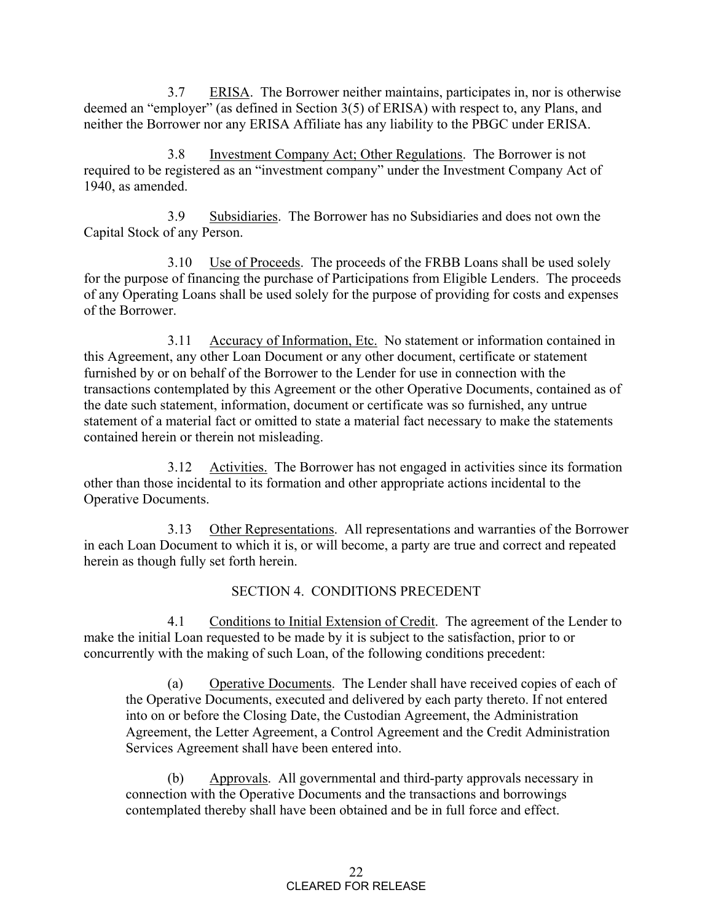3.7 ERISA. The Borrower neither maintains, participates in, nor is otherwise deemed an "employer" (as defined in Section 3(5) of ERISA) with respect to, any Plans, and neither the Borrower nor any ERISA Affiliate has any liability to the PBGC under ERISA.

3.8 Investment Company Act; Other Regulations. The Borrower is not required to be registered as an "investment company" under the Investment Company Act of 1940, as amended.

3.9 Subsidiaries. The Borrower has no Subsidiaries and does not own the Capital Stock of any Person.

3.10 Use of Proceeds. The proceeds of the FRBB Loans shall be used solely for the purpose of financing the purchase of Participations from Eligible Lenders. The proceeds of any Operating Loans shall be used solely for the purpose of providing for costs and expenses of the Borrower.

3.11 Accuracy of Information, Etc. No statement or information contained in this Agreement, any other Loan Document or any other document, certificate or statement furnished by or on behalf of the Borrower to the Lender for use in connection with the transactions contemplated by this Agreement or the other Operative Documents, contained as of the date such statement, information, document or certificate was so furnished, any untrue statement of a material fact or omitted to state a material fact necessary to make the statements contained herein or therein not misleading.

3.12 Activities. The Borrower has not engaged in activities since its formation other than those incidental to its formation and other appropriate actions incidental to the Operative Documents.

3.13 Other Representations. All representations and warranties of the Borrower in each Loan Document to which it is, or will become, a party are true and correct and repeated herein as though fully set forth herein.

## SECTION 4. CONDITIONS PRECEDENT

4.1 Conditions to Initial Extension of Credit. The agreement of the Lender to make the initial Loan requested to be made by it is subject to the satisfaction, prior to or concurrently with the making of such Loan, of the following conditions precedent:

(a) Operative Documents. The Lender shall have received copies of each of the Operative Documents, executed and delivered by each party thereto. If not entered into on or before the Closing Date, the Custodian Agreement, the Administration Agreement, the Letter Agreement, a Control Agreement and the Credit Administration Services Agreement shall have been entered into.

(b) Approvals. All governmental and third-party approvals necessary in connection with the Operative Documents and the transactions and borrowings contemplated thereby shall have been obtained and be in full force and effect.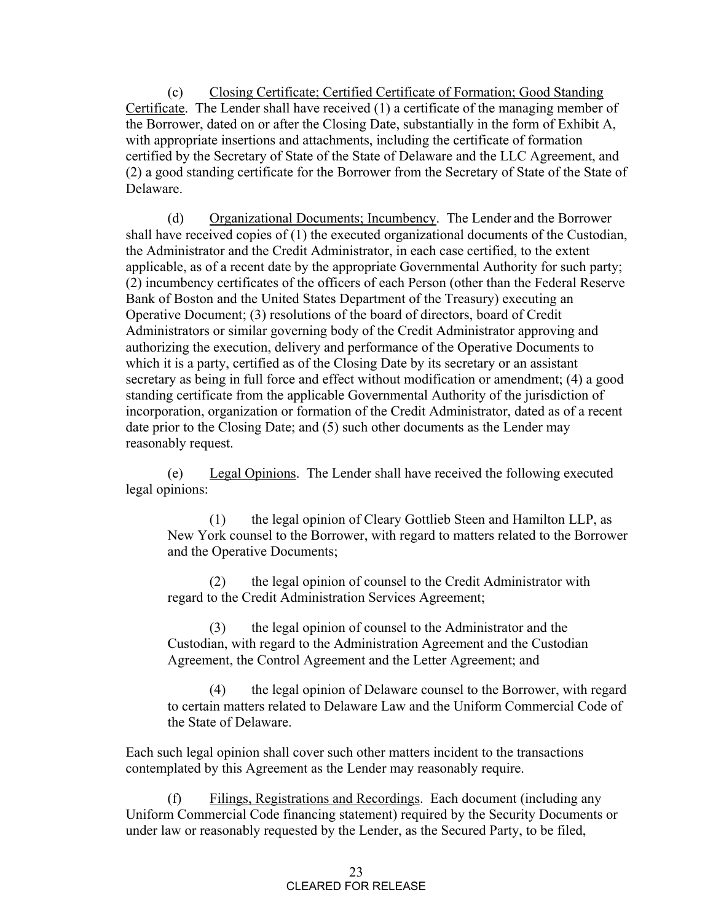(c) Closing Certificate; Certified Certificate of Formation; Good Standing Certificate. The Lender shall have received (1) a certificate of the managing member of the Borrower, dated on or after the Closing Date, substantially in the form of Exhibit A, with appropriate insertions and attachments, including the certificate of formation certified by the Secretary of State of the State of Delaware and the LLC Agreement, and (2) a good standing certificate for the Borrower from the Secretary of State of the State of Delaware.

(d) Organizational Documents; Incumbency. The Lender and the Borrower shall have received copies of (1) the executed organizational documents of the Custodian, the Administrator and the Credit Administrator, in each case certified, to the extent applicable, as of a recent date by the appropriate Governmental Authority for such party; (2) incumbency certificates of the officers of each Person (other than the Federal Reserve Bank of Boston and the United States Department of the Treasury) executing an Operative Document; (3) resolutions of the board of directors, board of Credit Administrators or similar governing body of the Credit Administrator approving and authorizing the execution, delivery and performance of the Operative Documents to which it is a party, certified as of the Closing Date by its secretary or an assistant secretary as being in full force and effect without modification or amendment; (4) a good standing certificate from the applicable Governmental Authority of the jurisdiction of incorporation, organization or formation of the Credit Administrator, dated as of a recent date prior to the Closing Date; and (5) such other documents as the Lender may reasonably request.

(e) Legal Opinions. The Lender shall have received the following executed legal opinions:

(1) the legal opinion of Cleary Gottlieb Steen and Hamilton LLP, as New York counsel to the Borrower, with regard to matters related to the Borrower and the Operative Documents;

(2) the legal opinion of counsel to the Credit Administrator with regard to the Credit Administration Services Agreement;

(3) the legal opinion of counsel to the Administrator and the Custodian, with regard to the Administration Agreement and the Custodian Agreement, the Control Agreement and the Letter Agreement; and

(4) the legal opinion of Delaware counsel to the Borrower, with regard to certain matters related to Delaware Law and the Uniform Commercial Code of the State of Delaware.

Each such legal opinion shall cover such other matters incident to the transactions contemplated by this Agreement as the Lender may reasonably require.

(f) Filings, Registrations and Recordings. Each document (including any Uniform Commercial Code financing statement) required by the Security Documents or under law or reasonably requested by the Lender, as the Secured Party, to be filed,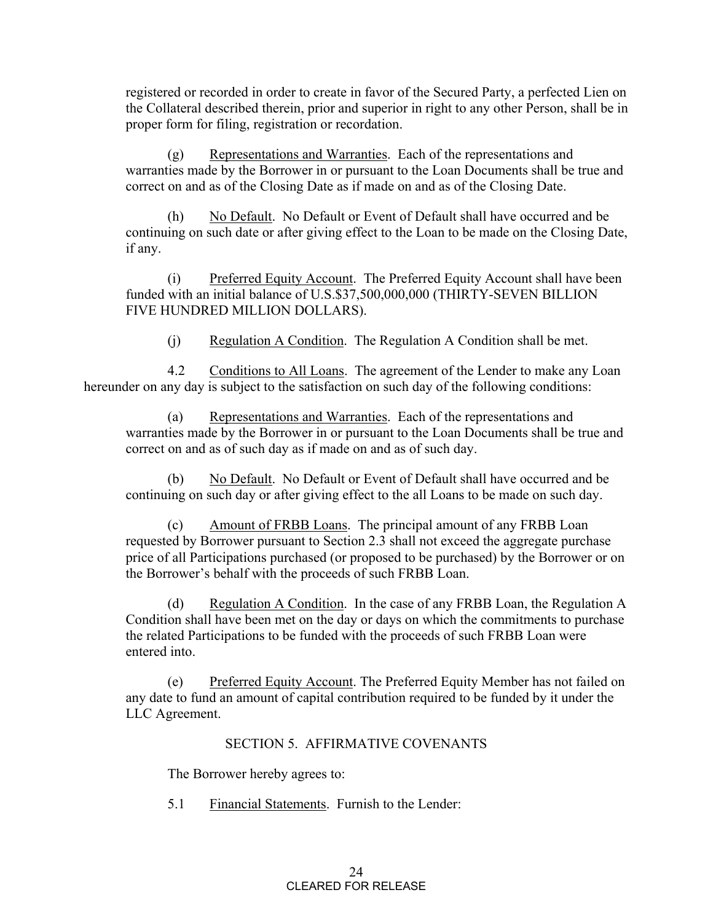registered or recorded in order to create in favor of the Secured Party, a perfected Lien on the Collateral described therein, prior and superior in right to any other Person, shall be in proper form for filing, registration or recordation.

(g) Representations and Warranties. Each of the representations and warranties made by the Borrower in or pursuant to the Loan Documents shall be true and correct on and as of the Closing Date as if made on and as of the Closing Date.

(h) No Default. No Default or Event of Default shall have occurred and be continuing on such date or after giving effect to the Loan to be made on the Closing Date, if any.

(i) Preferred Equity Account. The Preferred Equity Account shall have been funded with an initial balance of U.S.\$37,500,000,000 (THIRTY-SEVEN BILLION FIVE HUNDRED MILLION DOLLARS).

(j) Regulation A Condition. The Regulation A Condition shall be met.

4.2 Conditions to All Loans. The agreement of the Lender to make any Loan hereunder on any day is subject to the satisfaction on such day of the following conditions:

(a) Representations and Warranties. Each of the representations and warranties made by the Borrower in or pursuant to the Loan Documents shall be true and correct on and as of such day as if made on and as of such day.

(b) No Default. No Default or Event of Default shall have occurred and be continuing on such day or after giving effect to the all Loans to be made on such day.

(c) Amount of FRBB Loans. The principal amount of any FRBB Loan requested by Borrower pursuant to Section 2.3 shall not exceed the aggregate purchase price of all Participations purchased (or proposed to be purchased) by the Borrower or on the Borrower's behalf with the proceeds of such FRBB Loan.

(d) Regulation A Condition. In the case of any FRBB Loan, the Regulation A Condition shall have been met on the day or days on which the commitments to purchase the related Participations to be funded with the proceeds of such FRBB Loan were entered into.

(e) Preferred Equity Account. The Preferred Equity Member has not failed on any date to fund an amount of capital contribution required to be funded by it under the LLC Agreement.

SECTION 5. AFFIRMATIVE COVENANTS

The Borrower hereby agrees to:

5.1 Financial Statements. Furnish to the Lender: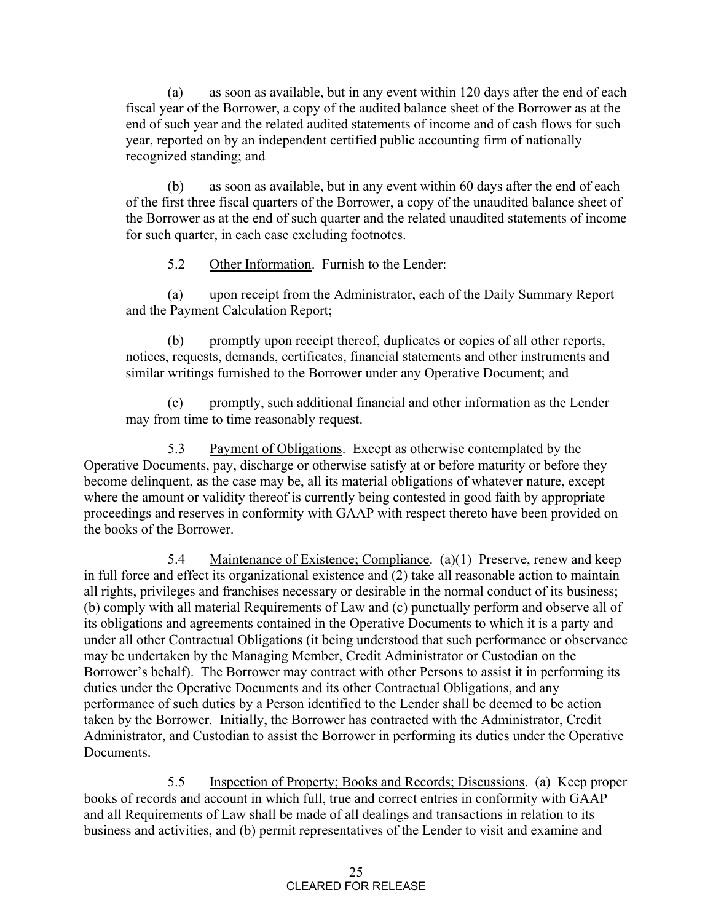(a) as soon as available, but in any event within 120 days after the end of each fiscal year of the Borrower, a copy of the audited balance sheet of the Borrower as at the end of such year and the related audited statements of income and of cash flows for such year, reported on by an independent certified public accounting firm of nationally recognized standing; and

(b) as soon as available, but in any event within 60 days after the end of each of the first three fiscal quarters of the Borrower, a copy of the unaudited balance sheet of the Borrower as at the end of such quarter and the related unaudited statements of income for such quarter, in each case excluding footnotes.

5.2 Other Information. Furnish to the Lender:

(a) upon receipt from the Administrator, each of the Daily Summary Report and the Payment Calculation Report;

(b) promptly upon receipt thereof, duplicates or copies of all other reports, notices, requests, demands, certificates, financial statements and other instruments and similar writings furnished to the Borrower under any Operative Document; and

(c) promptly, such additional financial and other information as the Lender may from time to time reasonably request.

5.3 Payment of Obligations. Except as otherwise contemplated by the Operative Documents, pay, discharge or otherwise satisfy at or before maturity or before they become delinquent, as the case may be, all its material obligations of whatever nature, except where the amount or validity thereof is currently being contested in good faith by appropriate proceedings and reserves in conformity with GAAP with respect thereto have been provided on the books of the Borrower.

5.4 Maintenance of Existence; Compliance. (a)(1) Preserve, renew and keep in full force and effect its organizational existence and (2) take all reasonable action to maintain all rights, privileges and franchises necessary or desirable in the normal conduct of its business; (b) comply with all material Requirements of Law and (c) punctually perform and observe all of its obligations and agreements contained in the Operative Documents to which it is a party and under all other Contractual Obligations (it being understood that such performance or observance may be undertaken by the Managing Member, Credit Administrator or Custodian on the Borrower's behalf). The Borrower may contract with other Persons to assist it in performing its duties under the Operative Documents and its other Contractual Obligations, and any performance of such duties by a Person identified to the Lender shall be deemed to be action taken by the Borrower. Initially, the Borrower has contracted with the Administrator, Credit Administrator, and Custodian to assist the Borrower in performing its duties under the Operative Documents.

5.5 Inspection of Property; Books and Records; Discussions. (a) Keep proper books of records and account in which full, true and correct entries in conformity with GAAP and all Requirements of Law shall be made of all dealings and transactions in relation to its business and activities, and (b) permit representatives of the Lender to visit and examine and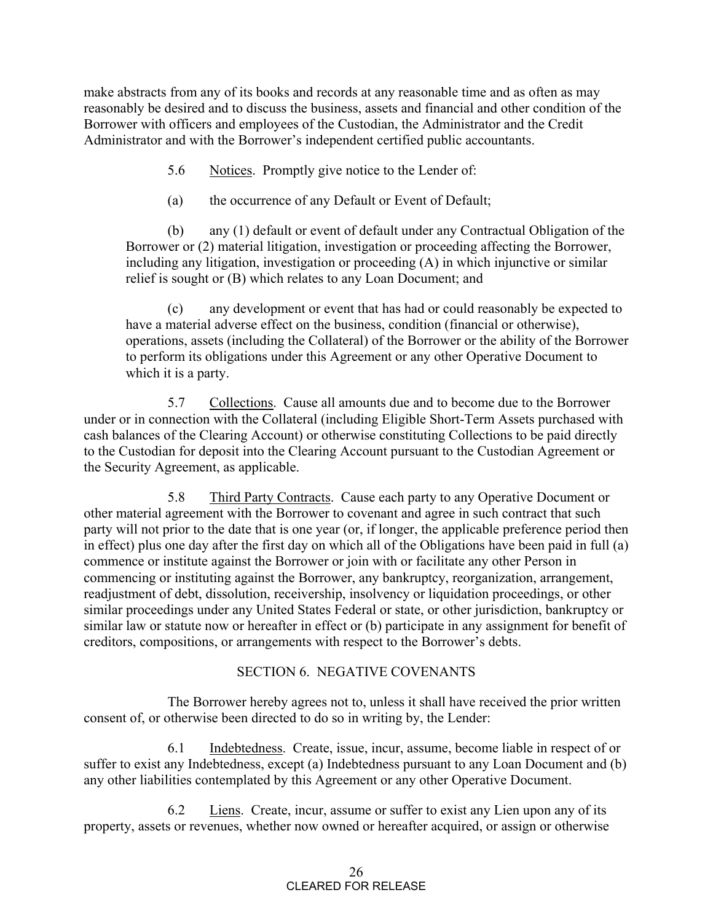make abstracts from any of its books and records at any reasonable time and as often as may reasonably be desired and to discuss the business, assets and financial and other condition of the Borrower with officers and employees of the Custodian, the Administrator and the Credit Administrator and with the Borrower's independent certified public accountants.

- 5.6 Notices. Promptly give notice to the Lender of:
- (a) the occurrence of any Default or Event of Default;

(b) any (1) default or event of default under any Contractual Obligation of the Borrower or (2) material litigation, investigation or proceeding affecting the Borrower, including any litigation, investigation or proceeding (A) in which injunctive or similar relief is sought or (B) which relates to any Loan Document; and

(c) any development or event that has had or could reasonably be expected to have a material adverse effect on the business, condition (financial or otherwise), operations, assets (including the Collateral) of the Borrower or the ability of the Borrower to perform its obligations under this Agreement or any other Operative Document to which it is a party.

5.7 Collections. Cause all amounts due and to become due to the Borrower under or in connection with the Collateral (including Eligible Short-Term Assets purchased with cash balances of the Clearing Account) or otherwise constituting Collections to be paid directly to the Custodian for deposit into the Clearing Account pursuant to the Custodian Agreement or the Security Agreement, as applicable.

5.8 Third Party Contracts. Cause each party to any Operative Document or other material agreement with the Borrower to covenant and agree in such contract that such party will not prior to the date that is one year (or, if longer, the applicable preference period then in effect) plus one day after the first day on which all of the Obligations have been paid in full (a) commence or institute against the Borrower or join with or facilitate any other Person in commencing or instituting against the Borrower, any bankruptcy, reorganization, arrangement, readjustment of debt, dissolution, receivership, insolvency or liquidation proceedings, or other similar proceedings under any United States Federal or state, or other jurisdiction, bankruptcy or similar law or statute now or hereafter in effect or (b) participate in any assignment for benefit of creditors, compositions, or arrangements with respect to the Borrower's debts.

## SECTION 6. NEGATIVE COVENANTS

The Borrower hereby agrees not to, unless it shall have received the prior written consent of, or otherwise been directed to do so in writing by, the Lender:

6.1 Indebtedness. Create, issue, incur, assume, become liable in respect of or suffer to exist any Indebtedness, except (a) Indebtedness pursuant to any Loan Document and (b) any other liabilities contemplated by this Agreement or any other Operative Document.

6.2 Liens. Create, incur, assume or suffer to exist any Lien upon any of its property, assets or revenues, whether now owned or hereafter acquired, or assign or otherwise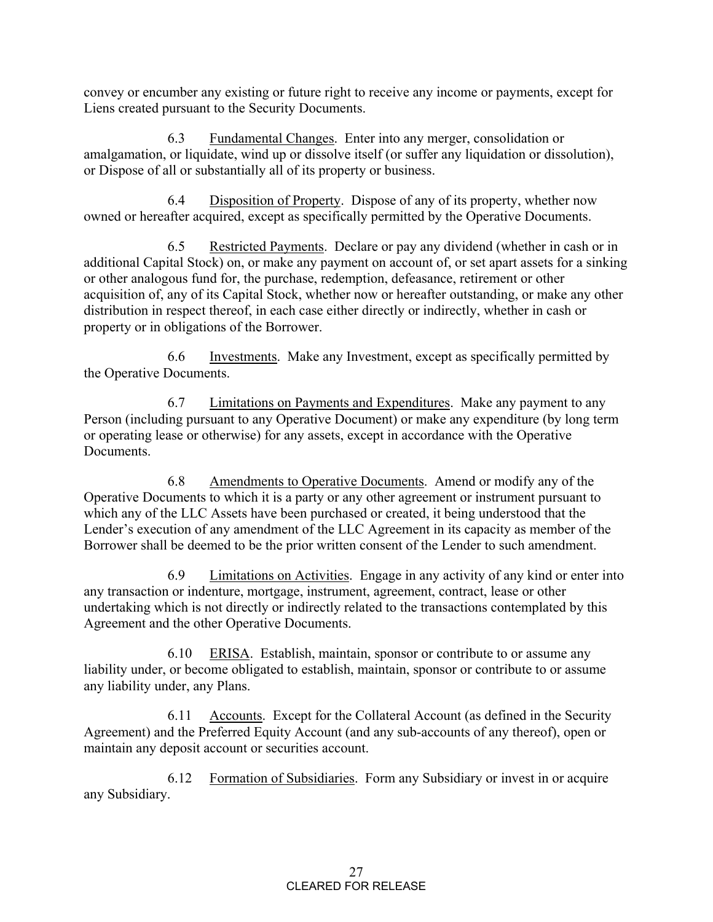convey or encumber any existing or future right to receive any income or payments, except for Liens created pursuant to the Security Documents.

6.3 Fundamental Changes. Enter into any merger, consolidation or amalgamation, or liquidate, wind up or dissolve itself (or suffer any liquidation or dissolution), or Dispose of all or substantially all of its property or business.

6.4 Disposition of Property. Dispose of any of its property, whether now owned or hereafter acquired, except as specifically permitted by the Operative Documents.

6.5 Restricted Payments. Declare or pay any dividend (whether in cash or in additional Capital Stock) on, or make any payment on account of, or set apart assets for a sinking or other analogous fund for, the purchase, redemption, defeasance, retirement or other acquisition of, any of its Capital Stock, whether now or hereafter outstanding, or make any other distribution in respect thereof, in each case either directly or indirectly, whether in cash or property or in obligations of the Borrower.

6.6 Investments. Make any Investment, except as specifically permitted by the Operative Documents.

6.7 Limitations on Payments and Expenditures. Make any payment to any Person (including pursuant to any Operative Document) or make any expenditure (by long term or operating lease or otherwise) for any assets, except in accordance with the Operative Documents.

6.8 Amendments to Operative Documents. Amend or modify any of the Operative Documents to which it is a party or any other agreement or instrument pursuant to which any of the LLC Assets have been purchased or created, it being understood that the Lender's execution of any amendment of the LLC Agreement in its capacity as member of the Borrower shall be deemed to be the prior written consent of the Lender to such amendment.

6.9 Limitations on Activities. Engage in any activity of any kind or enter into any transaction or indenture, mortgage, instrument, agreement, contract, lease or other undertaking which is not directly or indirectly related to the transactions contemplated by this Agreement and the other Operative Documents.

6.10 ERISA. Establish, maintain, sponsor or contribute to or assume any liability under, or become obligated to establish, maintain, sponsor or contribute to or assume any liability under, any Plans.

6.11 Accounts. Except for the Collateral Account (as defined in the Security Agreement) and the Preferred Equity Account (and any sub-accounts of any thereof), open or maintain any deposit account or securities account.

6.12 Formation of Subsidiaries. Form any Subsidiary or invest in or acquire any Subsidiary.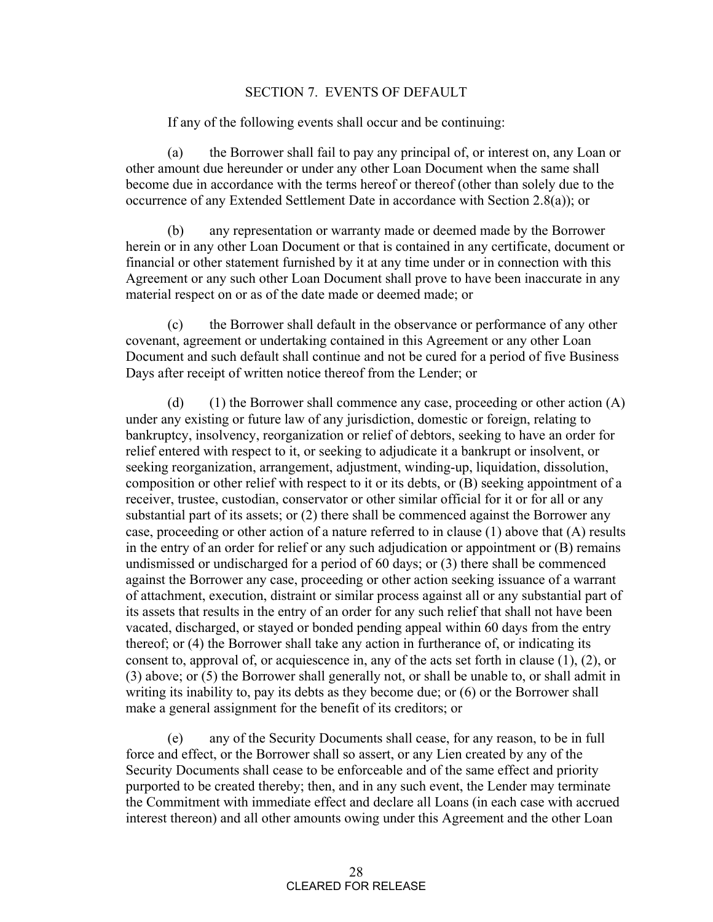#### SECTION 7. EVENTS OF DEFAULT

If any of the following events shall occur and be continuing:

(a) the Borrower shall fail to pay any principal of, or interest on, any Loan or other amount due hereunder or under any other Loan Document when the same shall become due in accordance with the terms hereof or thereof (other than solely due to the occurrence of any Extended Settlement Date in accordance with Section 2.8(a)); or

(b) any representation or warranty made or deemed made by the Borrower herein or in any other Loan Document or that is contained in any certificate, document or financial or other statement furnished by it at any time under or in connection with this Agreement or any such other Loan Document shall prove to have been inaccurate in any material respect on or as of the date made or deemed made; or

(c) the Borrower shall default in the observance or performance of any other covenant, agreement or undertaking contained in this Agreement or any other Loan Document and such default shall continue and not be cured for a period of five Business Days after receipt of written notice thereof from the Lender; or

(d) (1) the Borrower shall commence any case, proceeding or other action  $(A)$ under any existing or future law of any jurisdiction, domestic or foreign, relating to bankruptcy, insolvency, reorganization or relief of debtors, seeking to have an order for relief entered with respect to it, or seeking to adjudicate it a bankrupt or insolvent, or seeking reorganization, arrangement, adjustment, winding-up, liquidation, dissolution, composition or other relief with respect to it or its debts, or (B) seeking appointment of a receiver, trustee, custodian, conservator or other similar official for it or for all or any substantial part of its assets; or (2) there shall be commenced against the Borrower any case, proceeding or other action of a nature referred to in clause (1) above that (A) results in the entry of an order for relief or any such adjudication or appointment or (B) remains undismissed or undischarged for a period of 60 days; or (3) there shall be commenced against the Borrower any case, proceeding or other action seeking issuance of a warrant of attachment, execution, distraint or similar process against all or any substantial part of its assets that results in the entry of an order for any such relief that shall not have been vacated, discharged, or stayed or bonded pending appeal within 60 days from the entry thereof; or (4) the Borrower shall take any action in furtherance of, or indicating its consent to, approval of, or acquiescence in, any of the acts set forth in clause (1), (2), or (3) above; or (5) the Borrower shall generally not, or shall be unable to, or shall admit in writing its inability to, pay its debts as they become due; or  $(6)$  or the Borrower shall make a general assignment for the benefit of its creditors; or

(e) any of the Security Documents shall cease, for any reason, to be in full force and effect, or the Borrower shall so assert, or any Lien created by any of the Security Documents shall cease to be enforceable and of the same effect and priority purported to be created thereby; then, and in any such event, the Lender may terminate the Commitment with immediate effect and declare all Loans (in each case with accrued interest thereon) and all other amounts owing under this Agreement and the other Loan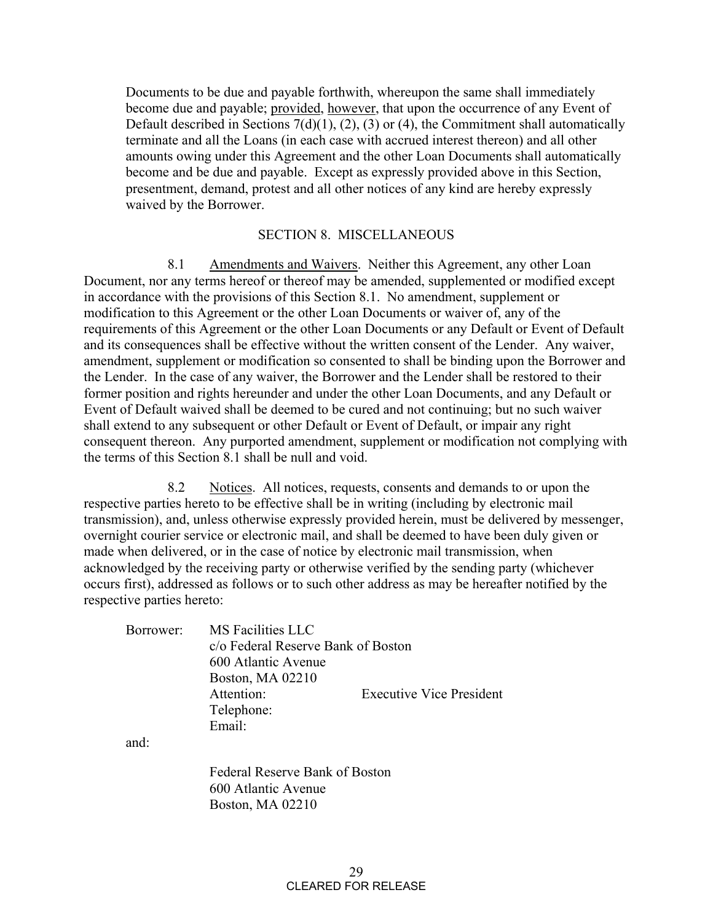Documents to be due and payable forthwith, whereupon the same shall immediately become due and payable; provided, however, that upon the occurrence of any Event of Default described in Sections  $7(d)(1)$ ,  $(2)$ ,  $(3)$  or  $(4)$ , the Commitment shall automatically terminate and all the Loans (in each case with accrued interest thereon) and all other amounts owing under this Agreement and the other Loan Documents shall automatically become and be due and payable. Except as expressly provided above in this Section, presentment, demand, protest and all other notices of any kind are hereby expressly waived by the Borrower.

#### SECTION 8. MISCELLANEOUS

8.1 Amendments and Waivers. Neither this Agreement, any other Loan Document, nor any terms hereof or thereof may be amended, supplemented or modified except in accordance with the provisions of this Section 8.1. No amendment, supplement or modification to this Agreement or the other Loan Documents or waiver of, any of the requirements of this Agreement or the other Loan Documents or any Default or Event of Default and its consequences shall be effective without the written consent of the Lender. Any waiver, amendment, supplement or modification so consented to shall be binding upon the Borrower and the Lender. In the case of any waiver, the Borrower and the Lender shall be restored to their former position and rights hereunder and under the other Loan Documents, and any Default or Event of Default waived shall be deemed to be cured and not continuing; but no such waiver shall extend to any subsequent or other Default or Event of Default, or impair any right consequent thereon. Any purported amendment, supplement or modification not complying with the terms of this Section 8.1 shall be null and void.

8.2 Notices. All notices, requests, consents and demands to or upon the respective parties hereto to be effective shall be in writing (including by electronic mail transmission), and, unless otherwise expressly provided herein, must be delivered by messenger, overnight courier service or electronic mail, and shall be deemed to have been duly given or made when delivered, or in the case of notice by electronic mail transmission, when acknowledged by the receiving party or otherwise verified by the sending party (whichever occurs first), addressed as follows or to such other address as may be hereafter notified by the respective parties hereto:

| Borrower: | MS Facilities LLC                  |                                 |  |
|-----------|------------------------------------|---------------------------------|--|
|           | c/o Federal Reserve Bank of Boston |                                 |  |
|           | 600 Atlantic Avenue                |                                 |  |
|           | Boston, MA 02210                   |                                 |  |
|           | Attention:                         | <b>Executive Vice President</b> |  |
|           | Telephone:                         |                                 |  |
|           | Email:                             |                                 |  |
| ond:      |                                    |                                 |  |

and:

Federal Reserve Bank of Boston 600 Atlantic Avenue Boston, MA 02210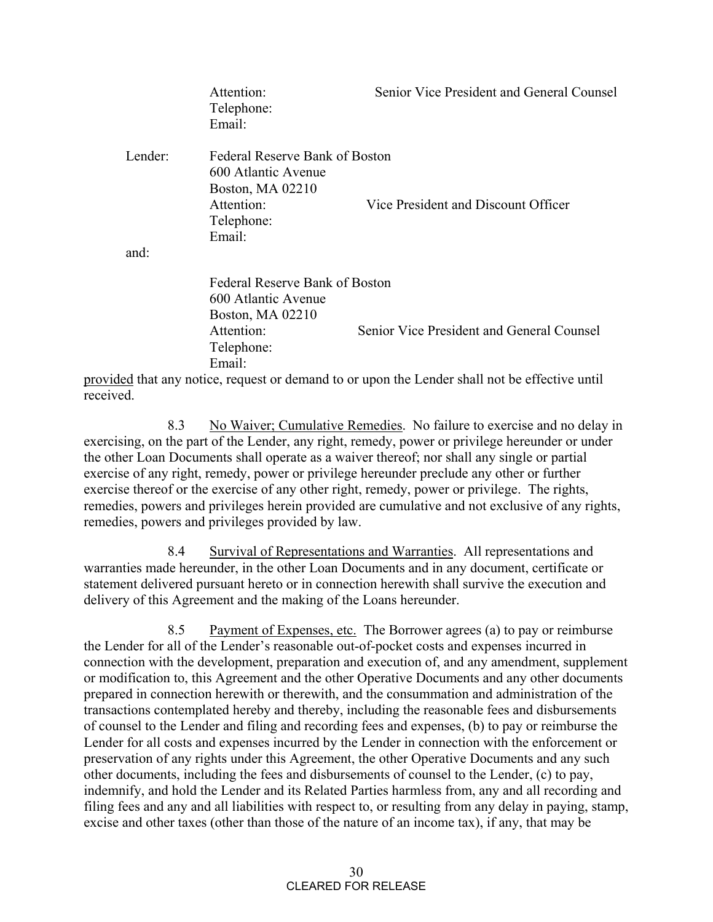|         | Attention:<br>Telephone:<br>Email:                                               | Senior Vice President and General Counsel        |  |
|---------|----------------------------------------------------------------------------------|--------------------------------------------------|--|
| Lender: | <b>Federal Reserve Bank of Boston</b><br>600 Atlantic Avenue<br>Boston, MA 02210 |                                                  |  |
|         | Attention:<br>Telephone:<br>Email:                                               | Vice President and Discount Officer              |  |
| and:    |                                                                                  |                                                  |  |
|         | Federal Reserve Bank of Boston<br>600 Atlantic Avenue<br>Boston, MA 02210        |                                                  |  |
|         | Attention:<br>Telephone:<br>Email:                                               | <b>Senior Vice President and General Counsel</b> |  |
|         |                                                                                  |                                                  |  |

provided that any notice, request or demand to or upon the Lender shall not be effective until received.

8.3 No Waiver; Cumulative Remedies. No failure to exercise and no delay in exercising, on the part of the Lender, any right, remedy, power or privilege hereunder or under the other Loan Documents shall operate as a waiver thereof; nor shall any single or partial exercise of any right, remedy, power or privilege hereunder preclude any other or further exercise thereof or the exercise of any other right, remedy, power or privilege. The rights, remedies, powers and privileges herein provided are cumulative and not exclusive of any rights, remedies, powers and privileges provided by law.

8.4 Survival of Representations and Warranties. All representations and warranties made hereunder, in the other Loan Documents and in any document, certificate or statement delivered pursuant hereto or in connection herewith shall survive the execution and delivery of this Agreement and the making of the Loans hereunder.

8.5 Payment of Expenses, etc. The Borrower agrees (a) to pay or reimburse the Lender for all of the Lender's reasonable out-of-pocket costs and expenses incurred in connection with the development, preparation and execution of, and any amendment, supplement or modification to, this Agreement and the other Operative Documents and any other documents prepared in connection herewith or therewith, and the consummation and administration of the transactions contemplated hereby and thereby, including the reasonable fees and disbursements of counsel to the Lender and filing and recording fees and expenses, (b) to pay or reimburse the Lender for all costs and expenses incurred by the Lender in connection with the enforcement or preservation of any rights under this Agreement, the other Operative Documents and any such other documents, including the fees and disbursements of counsel to the Lender, (c) to pay, indemnify, and hold the Lender and its Related Parties harmless from, any and all recording and filing fees and any and all liabilities with respect to, or resulting from any delay in paying, stamp, excise and other taxes (other than those of the nature of an income tax), if any, that may be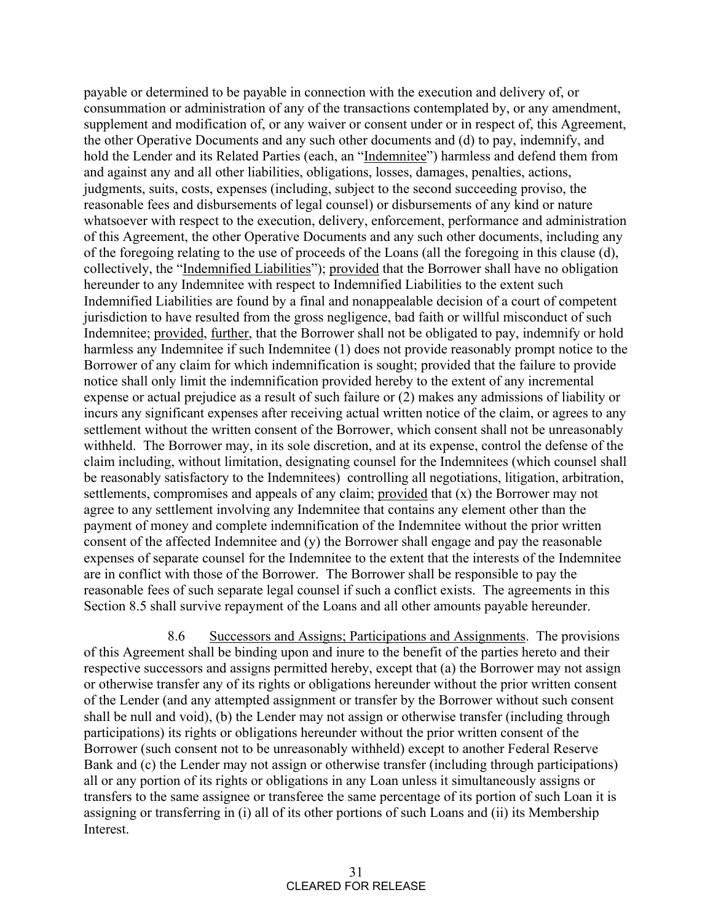payable or determined to be payable in connection with the execution and delivery of, or consummation or administration of any of the transactions contemplated by, or any amendment, supplement and modification of, or any waiver or consent under or in respect of, this Agreement, the other Operative Documents and any such other documents and (d) to pay, indemnify, and hold the Lender and its Related Parties (each, an "Indemnitee") harmless and defend them from and against any and all other liabilities, obligations, losses, damages, penalties, actions, judgments, suits, costs, expenses (including, subject to the second succeeding proviso, the reasonable fees and disbursements of legal counsel) or disbursements of any kind or nature whatsoever with respect to the execution, delivery, enforcement, performance and administration of this Agreement, the other Operative Documents and any such other documents, including any of the foregoing relating to the use of proceeds of the Loans (all the foregoing in this clause (d), collectively, the "Indemnified Liabilities"); provided that the Borrower shall have no obligation hereunder to any Indemnitee with respect to Indemnified Liabilities to the extent such Indemnified Liabilities are found by a final and nonappealable decision of a court of competent jurisdiction to have resulted from the gross negligence, bad faith or willful misconduct of such Indemnitee; provided, further, that the Borrower shall not be obligated to pay, indemnify or hold harmless any Indemnitee if such Indemnitee (1) does not provide reasonably prompt notice to the Borrower of any claim for which indemnification is sought; provided that the failure to provide notice shall only limit the indemnification provided hereby to the extent of any incremental expense or actual prejudice as a result of such failure or (2) makes any admissions of liability or incurs any significant expenses after receiving actual written notice of the claim, or agrees to any settlement without the written consent of the Borrower, which consent shall not be unreasonably withheld. The Borrower may, in its sole discretion, and at its expense, control the defense of the claim including, without limitation, designating counsel for the Indemnitees (which counsel shall be reasonably satisfactory to the Indemnitees) controlling all negotiations, litigation, arbitration, settlements, compromises and appeals of any claim; provided that (x) the Borrower may not agree to any settlement involving any Indemnitee that contains any element other than the payment of money and complete indemnification of the Indemnitee without the prior written consent of the affected Indemnitee and (y) the Borrower shall engage and pay the reasonable expenses of separate counsel for the Indemnitee to the extent that the interests of the Indemnitee are in conflict with those of the Borrower. The Borrower shall be responsible to pay the reasonable fees of such separate legal counsel if such a conflict exists. The agreements in this Section 8.5 shall survive repayment of the Loans and all other amounts payable hereunder.

8.6 Successors and Assigns; Participations and Assignments. The provisions of this Agreement shall be binding upon and inure to the benefit of the parties hereto and their respective successors and assigns permitted hereby, except that (a) the Borrower may not assign or otherwise transfer any of its rights or obligations hereunder without the prior written consent of the Lender (and any attempted assignment or transfer by the Borrower without such consent shall be null and void), (b) the Lender may not assign or otherwise transfer (including through participations) its rights or obligations hereunder without the prior written consent of the Borrower (such consent not to be unreasonably withheld) except to another Federal Reserve Bank and (c) the Lender may not assign or otherwise transfer (including through participations) all or any portion of its rights or obligations in any Loan unless it simultaneously assigns or transfers to the same assignee or transferee the same percentage of its portion of such Loan it is assigning or transferring in (i) all of its other portions of such Loans and (ii) its Membership Interest.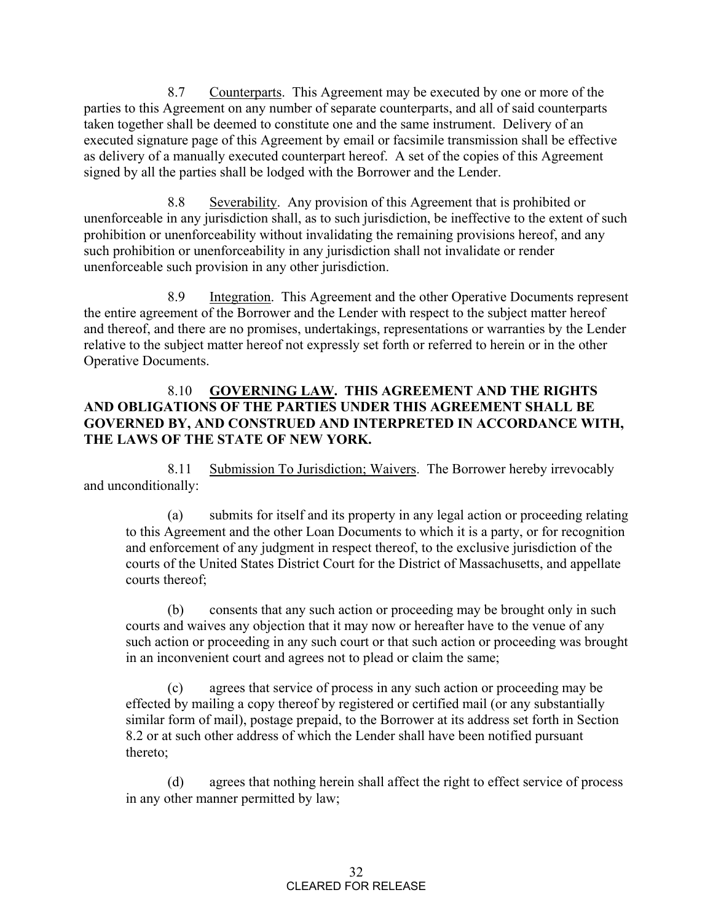8.7 Counterparts. This Agreement may be executed by one or more of the parties to this Agreement on any number of separate counterparts, and all of said counterparts taken together shall be deemed to constitute one and the same instrument. Delivery of an executed signature page of this Agreement by email or facsimile transmission shall be effective as delivery of a manually executed counterpart hereof. A set of the copies of this Agreement signed by all the parties shall be lodged with the Borrower and the Lender.

8.8 Severability. Any provision of this Agreement that is prohibited or unenforceable in any jurisdiction shall, as to such jurisdiction, be ineffective to the extent of such prohibition or unenforceability without invalidating the remaining provisions hereof, and any such prohibition or unenforceability in any jurisdiction shall not invalidate or render unenforceable such provision in any other jurisdiction.

8.9 Integration. This Agreement and the other Operative Documents represent the entire agreement of the Borrower and the Lender with respect to the subject matter hereof and thereof, and there are no promises, undertakings, representations or warranties by the Lender relative to the subject matter hereof not expressly set forth or referred to herein or in the other Operative Documents.

## 8.10 **GOVERNING LAW. THIS AGREEMENT AND THE RIGHTS AND OBLIGATIONS OF THE PARTIES UNDER THIS AGREEMENT SHALL BE GOVERNED BY, AND CONSTRUED AND INTERPRETED IN ACCORDANCE WITH, THE LAWS OF THE STATE OF NEW YORK.**

8.11 Submission To Jurisdiction; Waivers. The Borrower hereby irrevocably and unconditionally:

(a) submits for itself and its property in any legal action or proceeding relating to this Agreement and the other Loan Documents to which it is a party, or for recognition and enforcement of any judgment in respect thereof, to the exclusive jurisdiction of the courts of the United States District Court for the District of Massachusetts, and appellate courts thereof;

(b) consents that any such action or proceeding may be brought only in such courts and waives any objection that it may now or hereafter have to the venue of any such action or proceeding in any such court or that such action or proceeding was brought in an inconvenient court and agrees not to plead or claim the same;

(c) agrees that service of process in any such action or proceeding may be effected by mailing a copy thereof by registered or certified mail (or any substantially similar form of mail), postage prepaid, to the Borrower at its address set forth in Section 8.2 or at such other address of which the Lender shall have been notified pursuant thereto;

(d) agrees that nothing herein shall affect the right to effect service of process in any other manner permitted by law;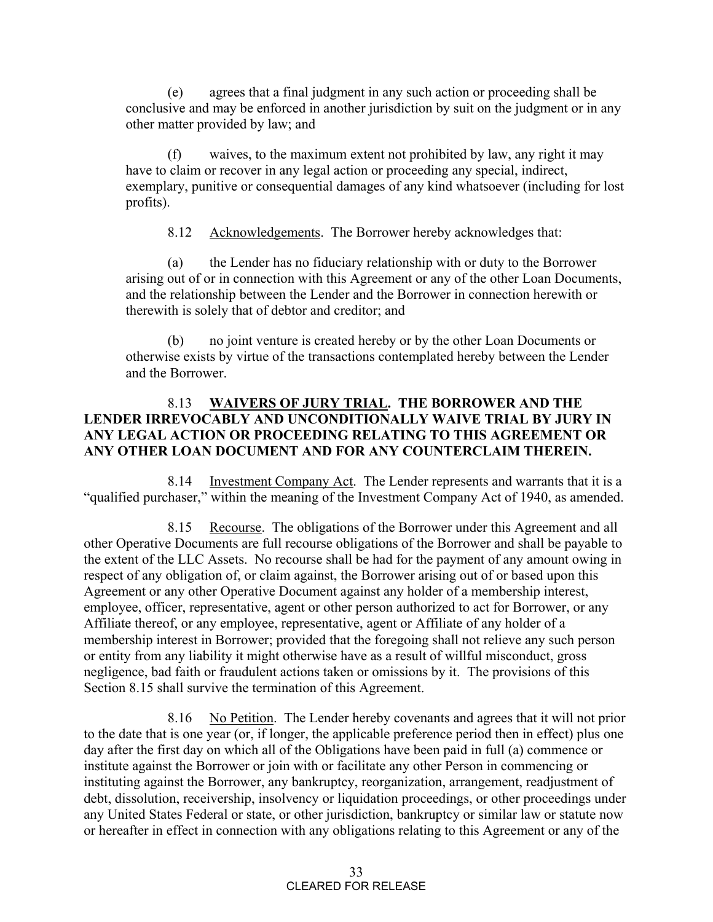(e) agrees that a final judgment in any such action or proceeding shall be conclusive and may be enforced in another jurisdiction by suit on the judgment or in any other matter provided by law; and

(f) waives, to the maximum extent not prohibited by law, any right it may have to claim or recover in any legal action or proceeding any special, indirect, exemplary, punitive or consequential damages of any kind whatsoever (including for lost profits).

8.12 Acknowledgements. The Borrower hereby acknowledges that:

(a) the Lender has no fiduciary relationship with or duty to the Borrower arising out of or in connection with this Agreement or any of the other Loan Documents, and the relationship between the Lender and the Borrower in connection herewith or therewith is solely that of debtor and creditor; and

(b) no joint venture is created hereby or by the other Loan Documents or otherwise exists by virtue of the transactions contemplated hereby between the Lender and the Borrower.

## 8.13 **WAIVERS OF JURY TRIAL. THE BORROWER AND THE LENDER IRREVOCABLY AND UNCONDITIONALLY WAIVE TRIAL BY JURY IN ANY LEGAL ACTION OR PROCEEDING RELATING TO THIS AGREEMENT OR ANY OTHER LOAN DOCUMENT AND FOR ANY COUNTERCLAIM THEREIN.**

8.14 Investment Company Act. The Lender represents and warrants that it is a "qualified purchaser," within the meaning of the Investment Company Act of 1940, as amended.

8.15 Recourse. The obligations of the Borrower under this Agreement and all other Operative Documents are full recourse obligations of the Borrower and shall be payable to the extent of the LLC Assets. No recourse shall be had for the payment of any amount owing in respect of any obligation of, or claim against, the Borrower arising out of or based upon this Agreement or any other Operative Document against any holder of a membership interest, employee, officer, representative, agent or other person authorized to act for Borrower, or any Affiliate thereof, or any employee, representative, agent or Affiliate of any holder of a membership interest in Borrower; provided that the foregoing shall not relieve any such person or entity from any liability it might otherwise have as a result of willful misconduct, gross negligence, bad faith or fraudulent actions taken or omissions by it. The provisions of this Section 8.15 shall survive the termination of this Agreement.

8.16 No Petition. The Lender hereby covenants and agrees that it will not prior to the date that is one year (or, if longer, the applicable preference period then in effect) plus one day after the first day on which all of the Obligations have been paid in full (a) commence or institute against the Borrower or join with or facilitate any other Person in commencing or instituting against the Borrower, any bankruptcy, reorganization, arrangement, readjustment of debt, dissolution, receivership, insolvency or liquidation proceedings, or other proceedings under any United States Federal or state, or other jurisdiction, bankruptcy or similar law or statute now or hereafter in effect in connection with any obligations relating to this Agreement or any of the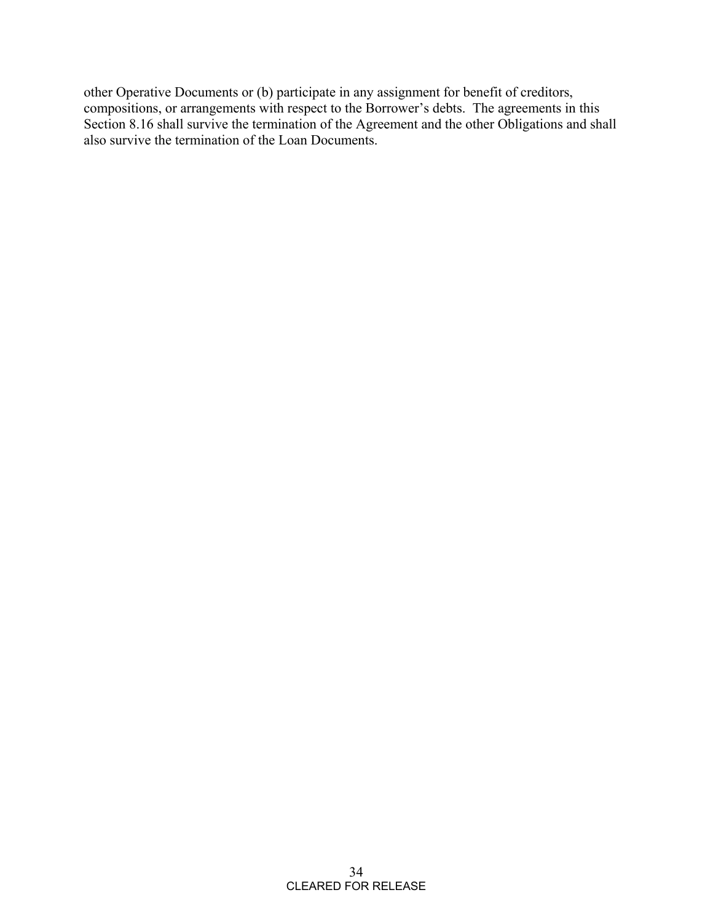other Operative Documents or (b) participate in any assignment for benefit of creditors, compositions, or arrangements with respect to the Borrower's debts. The agreements in this Section 8.16 shall survive the termination of the Agreement and the other Obligations and shall also survive the termination of the Loan Documents.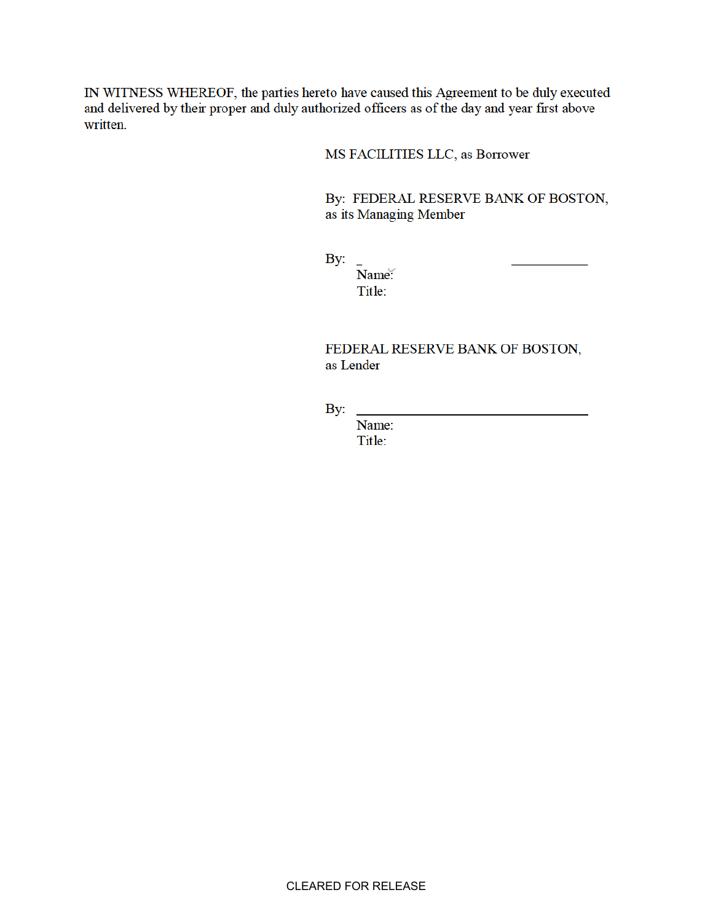IN WITNESS WHEREOF, the parties hereto have caused this Agreement to be duly executed and delivered by their proper and duly authorized officers as of the day and year first above written.

MS FACILITIES LLC, as Borrower

By: FEDERAL RESERVE BANK OF BOSTON, as its Managing Member

By:  $\frac{1}{\text{Name}}$ Title:

FEDERAL RESERVE BANK OF BOSTON, as Lender

By:

Name: Title: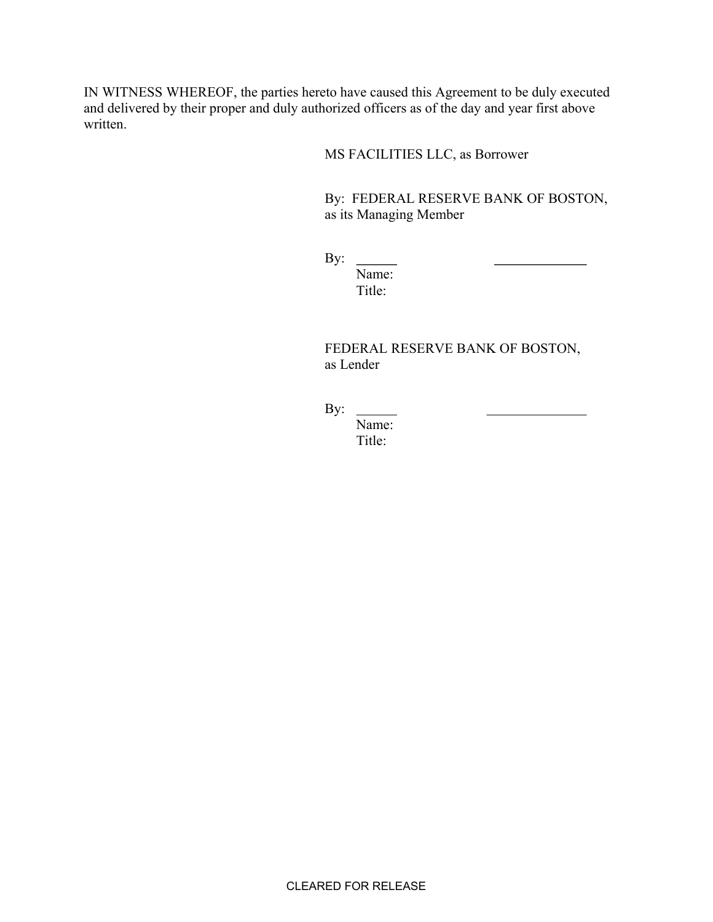IN WITNESS WHEREOF, the parties hereto have caused this Agreement to be duly executed and delivered by their proper and duly authorized officers as of the day and year first above written.

MS FACILITIES LLC, as Borrower

By: FEDERAL RESERVE BANK OF BOSTON, as its Managing Member

By:  $\_\_$ 

Name: Title:

FEDERAL RESERVE BANK OF BOSTON, as Lender

By:  $\_\_$ 

Name: Title:

CLEARED FOR RELEASE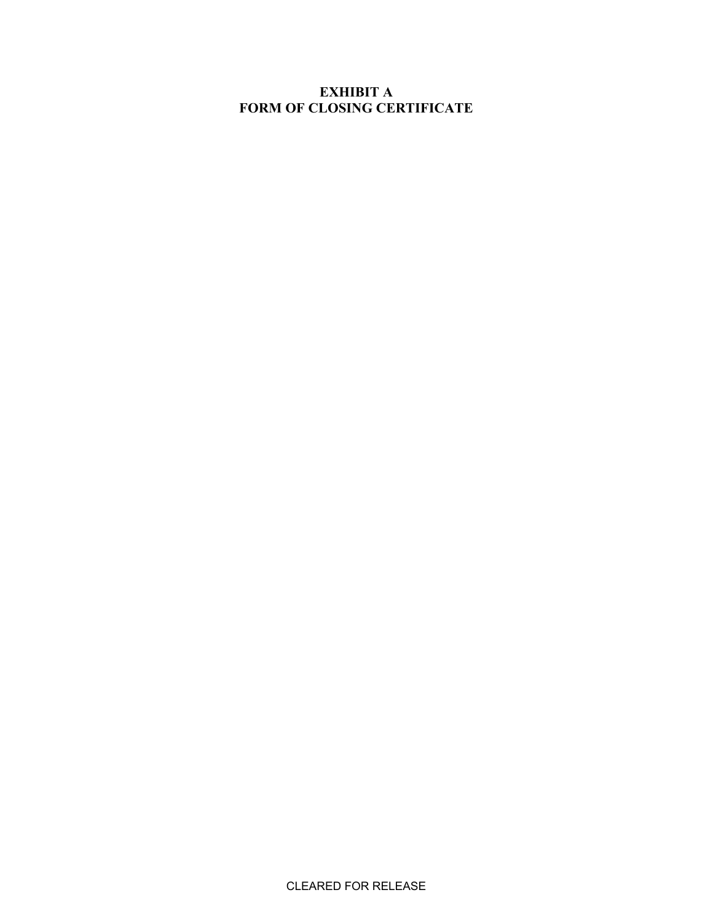## **EXHIBIT A FORM OF CLOSING CERTIFICATE**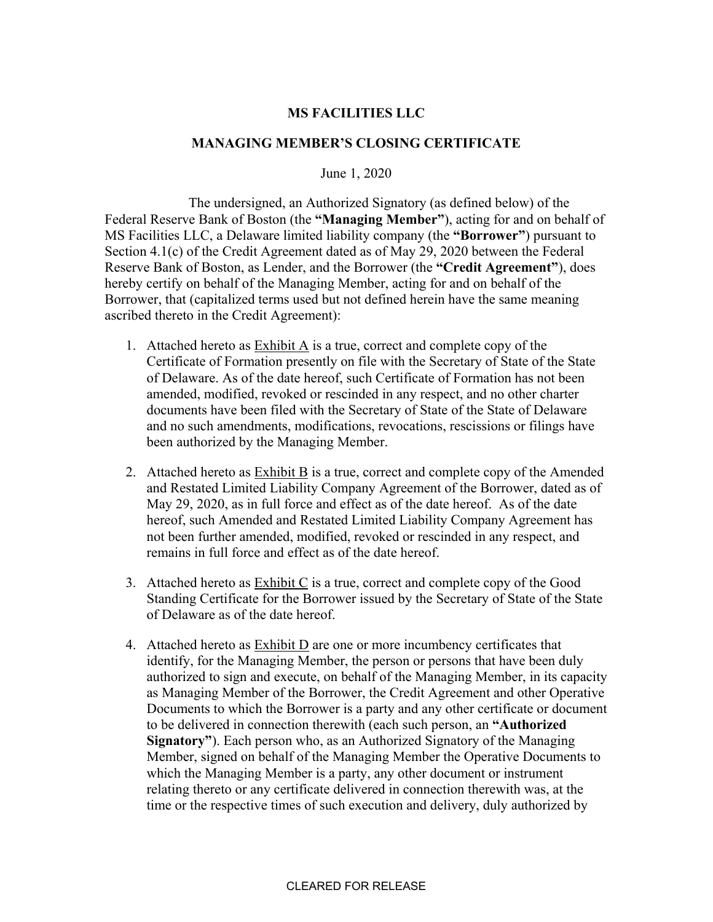#### **MS FACILITIES LLC**

#### **MANAGING MEMBER'S CLOSING CERTIFICATE**

June 1, 2020

The undersigned, an Authorized Signatory (as defined below) of the Federal Reserve Bank of Boston (the **"Managing Member"**), acting for and on behalf of MS Facilities LLC, a Delaware limited liability company (the **"Borrower"**) pursuant to Section 4.1(c) of the Credit Agreement dated as of May 29, 2020 between the Federal Reserve Bank of Boston, as Lender, and the Borrower (the **"Credit Agreement"**), does hereby certify on behalf of the Managing Member, acting for and on behalf of the Borrower, that (capitalized terms used but not defined herein have the same meaning ascribed thereto in the Credit Agreement):

- 1. Attached hereto as Exhibit A is a true, correct and complete copy of the Certificate of Formation presently on file with the Secretary of State of the State of Delaware. As of the date hereof, such Certificate of Formation has not been amended, modified, revoked or rescinded in any respect, and no other charter documents have been filed with the Secretary of State of the State of Delaware and no such amendments, modifications, revocations, rescissions or filings have been authorized by the Managing Member.
- 2. Attached hereto as Exhibit B is a true, correct and complete copy of the Amended and Restated Limited Liability Company Agreement of the Borrower, dated as of May 29, 2020, as in full force and effect as of the date hereof. As of the date hereof, such Amended and Restated Limited Liability Company Agreement has not been further amended, modified, revoked or rescinded in any respect, and remains in full force and effect as of the date hereof.
- 3. Attached hereto as Exhibit C is a true, correct and complete copy of the Good Standing Certificate for the Borrower issued by the Secretary of State of the State of Delaware as of the date hereof.
- 4. Attached hereto as Exhibit D are one or more incumbency certificates that identify, for the Managing Member, the person or persons that have been duly authorized to sign and execute, on behalf of the Managing Member, in its capacity as Managing Member of the Borrower, the Credit Agreement and other Operative Documents to which the Borrower is a party and any other certificate or document to be delivered in connection therewith (each such person, an **"Authorized Signatory"**). Each person who, as an Authorized Signatory of the Managing Member, signed on behalf of the Managing Member the Operative Documents to which the Managing Member is a party, any other document or instrument relating thereto or any certificate delivered in connection therewith was, at the time or the respective times of such execution and delivery, duly authorized by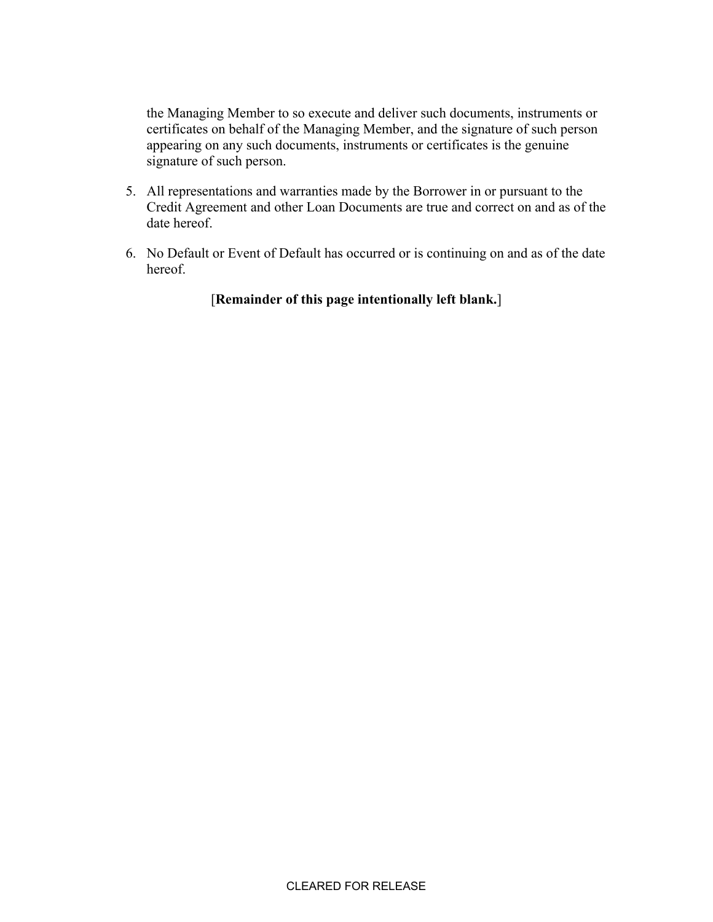the Managing Member to so execute and deliver such documents, instruments or certificates on behalf of the Managing Member, and the signature of such person appearing on any such documents, instruments or certificates is the genuine signature of such person.

- 5. All representations and warranties made by the Borrower in or pursuant to the Credit Agreement and other Loan Documents are true and correct on and as of the date hereof.
- 6. No Default or Event of Default has occurred or is continuing on and as of the date hereof.

## [**Remainder of this page intentionally left blank.**]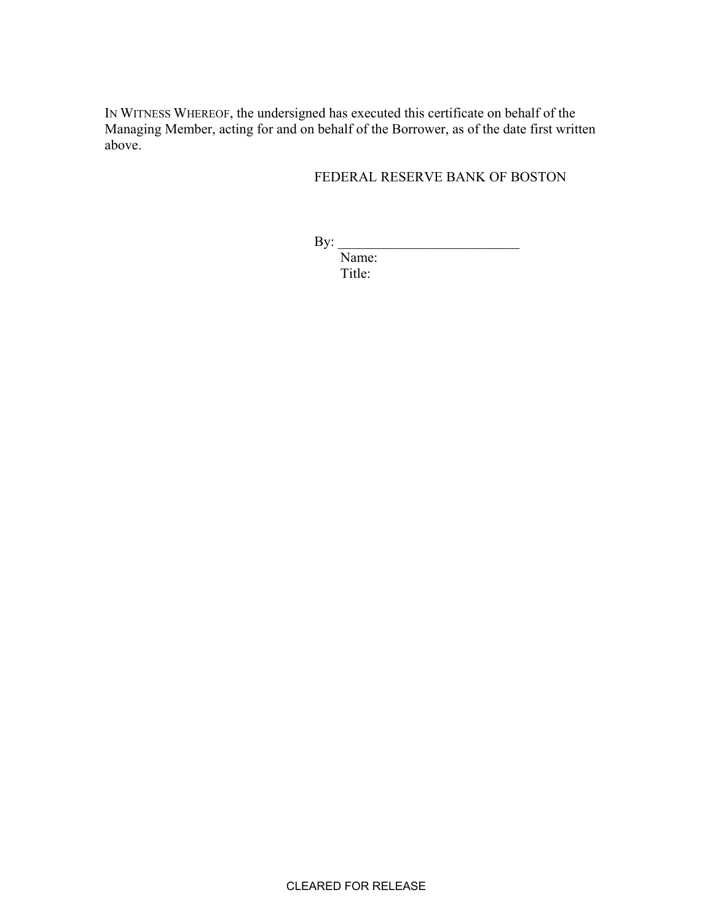IN WITNESS WHEREOF, the undersigned has executed this certificate on behalf of the Managing Member, acting for and on behalf of the Borrower, as of the date first written above.

## FEDERAL RESERVE BANK OF BOSTON

 $\mathbf{By:}$ 

Name: Title: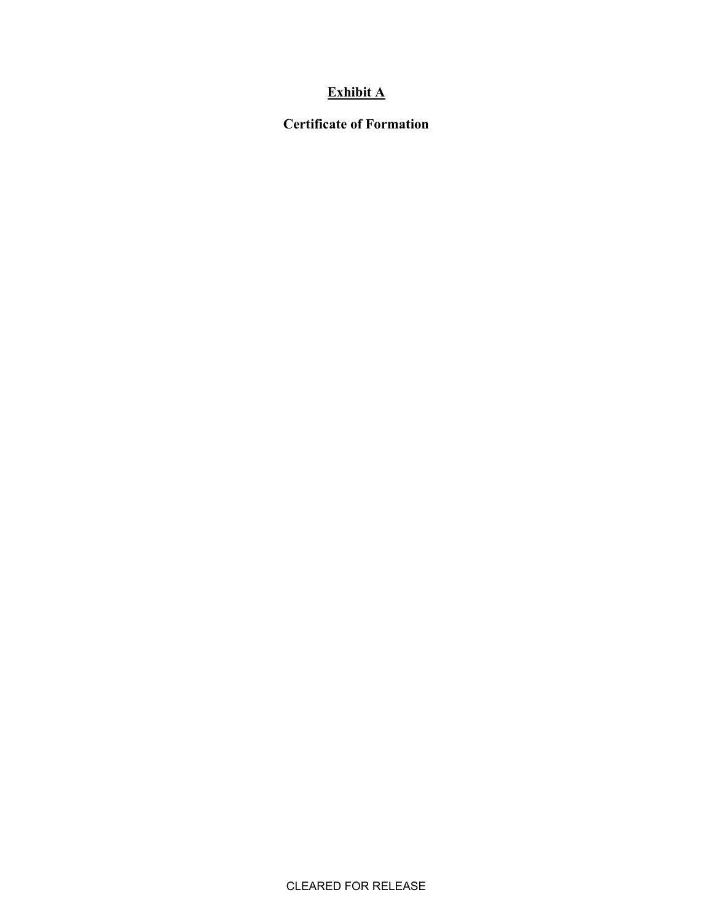## **Exhibit A**

**Certificate of Formation**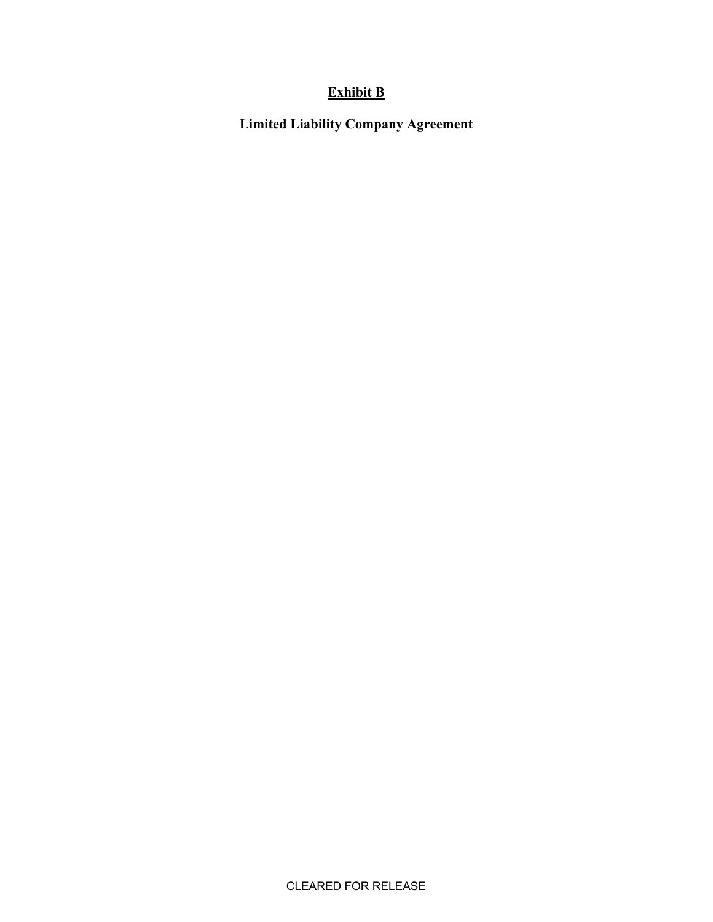# **Exhibit B**

**Limited Liability Company Agreement**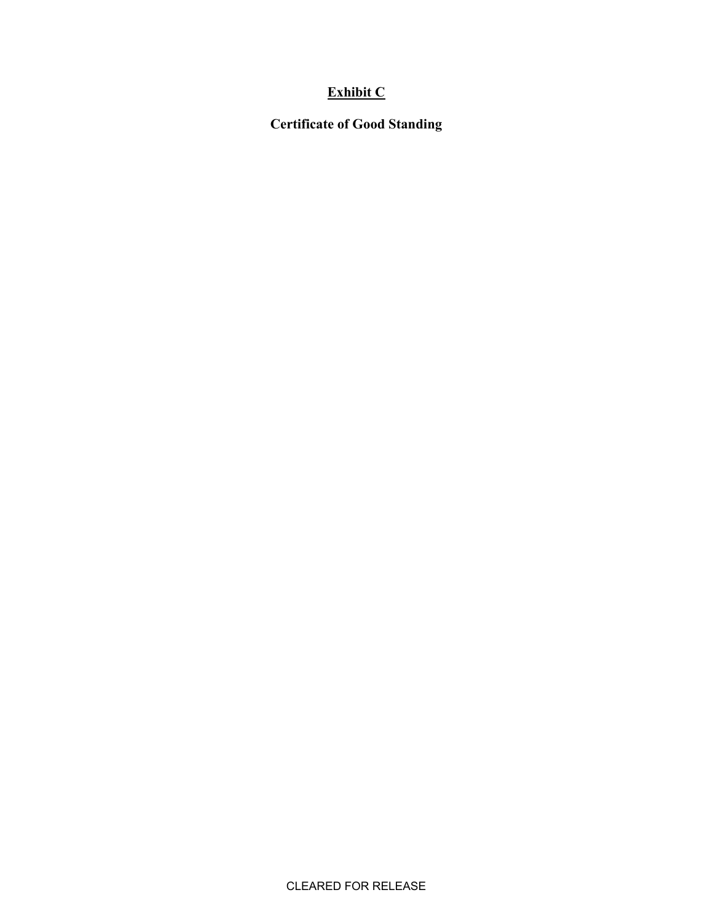# **Exhibit C**

**Certificate of Good Standing**